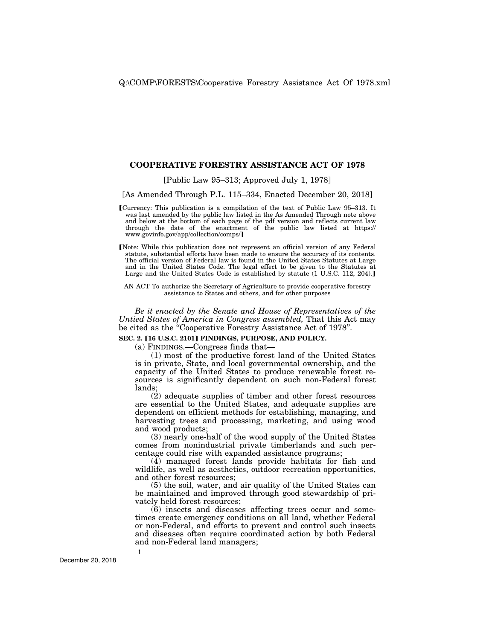# **COOPERATIVE FORESTRY ASSISTANCE ACT OF 1978**

[Public Law 95–313; Approved July 1, 1978]

[As Amended Through P.L. 115–334, Enacted December 20, 2018]

- øCurrency: This publication is a compilation of the text of Public Law 95–313. It was last amended by the public law listed in the As Amended Through note above and below at the bottom of each page of the pdf version and reflects current law through the date of the enactment of the public law listed at https:// www.govinfo.gov/app/collection/comps/
- [Note: While this publication does not represent an official version of any Federal statute, substantial efforts have been made to ensure the accuracy of its contents. The official version of Federal law is found in the United States Statutes at Large and in the United States Code. The legal effect to be given to the Statutes at Large and the United States Code is established by statute (1 U.S.C. 112, 204).

AN ACT To authorize the Secretary of Agriculture to provide cooperative forestry assistance to States and others, and for other purposes

*Be it enacted by the Senate and House of Representatives of the Untied States of America in Congress assembled,* That this Act may be cited as the ''Cooperative Forestry Assistance Act of 1978''.

## **SEC. 2. [16 U.S.C. 2101] FINDINGS, PURPOSE, AND POLICY.**

(a) FINDINGS.—Congress finds that—

(1) most of the productive forest land of the United States is in private, State, and local governmental ownership, and the capacity of the United States to produce renewable forest resources is significantly dependent on such non-Federal forest lands;

(2) adequate supplies of timber and other forest resources are essential to the United States, and adequate supplies are dependent on efficient methods for establishing, managing, and harvesting trees and processing, marketing, and using wood and wood products;

(3) nearly one-half of the wood supply of the United States comes from nonindustrial private timberlands and such percentage could rise with expanded assistance programs;

(4) managed forest lands provide habitats for fish and wildlife, as well as aesthetics, outdoor recreation opportunities, and other forest resources;

(5) the soil, water, and air quality of the United States can be maintained and improved through good stewardship of privately held forest resources;

(6) insects and diseases affecting trees occur and sometimes create emergency conditions on all land, whether Federal or non-Federal, and efforts to prevent and control such insects and diseases often require coordinated action by both Federal and non-Federal land managers;

**1**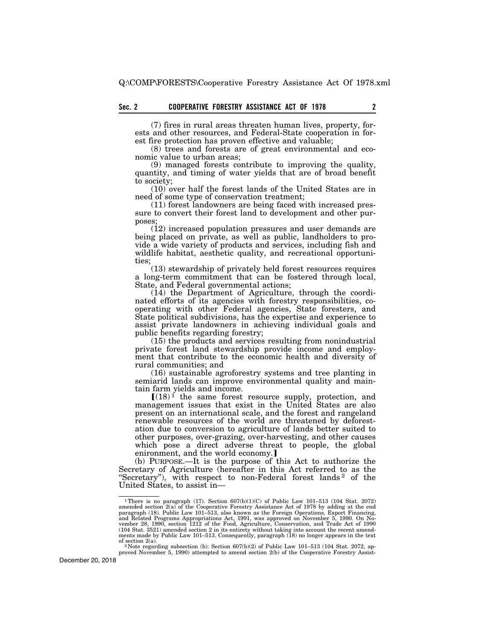(7) fires in rural areas threaten human lives, property, forests and other resources, and Federal-State cooperation in forest fire protection has proven effective and valuable;

(8) trees and forests are of great environmental and economic value to urban areas;

(9) managed forests contribute to improving the quality, quantity, and timing of water yields that are of broad benefit to society;

(10) over half the forest lands of the United States are in need of some type of conservation treatment;

(11) forest landowners are being faced with increased pressure to convert their forest land to development and other purposes;

(12) increased population pressures and user demands are being placed on private, as well as public, landholders to provide a wide variety of products and services, including fish and wildlife habitat, aesthetic quality, and recreational opportunities;

(13) stewardship of privately held forest resources requires a long-term commitment that can be fostered through local, State, and Federal governmental actions;

(14) the Department of Agriculture, through the coordinated efforts of its agencies with forestry responsibilities, cooperating with other Federal agencies, State foresters, and State political subdivisions, has the expertise and experience to assist private landowners in achieving individual goals and public benefits regarding forestry;

(15) the products and services resulting from nonindustrial private forest land stewardship provide income and employment that contribute to the economic health and diversity of rural communities; and

(16) sustainable agroforestry systems and tree planting in semiarid lands can improve environmental quality and maintain farm yields and income.

 $[(18)<sup>1</sup>]$  the same forest resource supply, protection, and management issues that exist in the United States are also present on an international scale, and the forest and rangeland renewable resources of the world are threatened by deforestation due to conversion to agriculture of lands better suited to other purposes, over-grazing, over-harvesting, and other causes which pose a direct adverse threat to people, the global enironment, and the world economy.]

(b) PURPOSE.—It is the purpose of this Act to authorize the Secretary of Agriculture (hereafter in this Act referred to as the "Secretary"), with respect to non-Federal forest lands<sup>2</sup> of the United States, to assist in—

<sup>&</sup>lt;sup>1</sup>There is no paragraph (17). Section  $607(b)(1)(C)$  of Public Law 101–513 (104 Stat. 2072) anended section  $2(a)$  of the Cooperative Forestry Assistance Act of 1978 by adding at the end paragraph (18). Public Law 101–513, a of section 2(a). <sup>2</sup> Note regarding subsection (b): Section  $607(b)(2)$  of Public Law 101–513 (104 Stat. 2072, ap-

proved November 5, 1990) attempted to amend section 2(b) of the Cooperative Forestry Assist-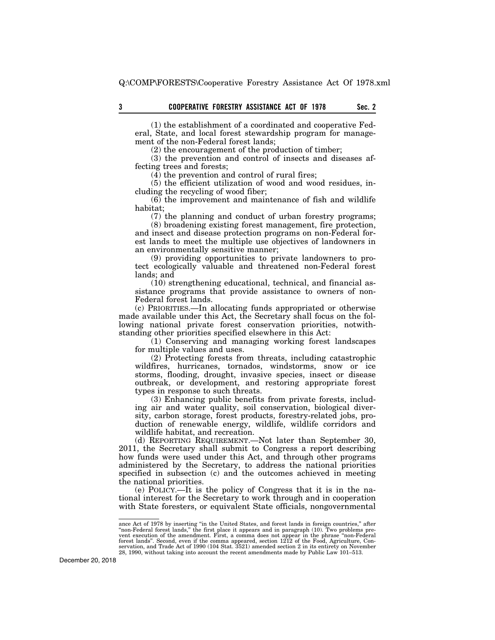(1) the establishment of a coordinated and cooperative Federal, State, and local forest stewardship program for management of the non-Federal forest lands;

(2) the encouragement of the production of timber;

(3) the prevention and control of insects and diseases affecting trees and forests;

(4) the prevention and control of rural fires;

(5) the efficient utilization of wood and wood residues, including the recycling of wood fiber;

(6) the improvement and maintenance of fish and wildlife habitat;

(7) the planning and conduct of urban forestry programs; (8) broadening existing forest management, fire protection,

and insect and disease protection programs on non-Federal forest lands to meet the multiple use objectives of landowners in an environmentally sensitive manner;

(9) providing opportunities to private landowners to protect ecologically valuable and threatened non-Federal forest lands; and

(10) strengthening educational, technical, and financial assistance programs that provide assistance to owners of non-Federal forest lands.

(c) PRIORITIES.—In allocating funds appropriated or otherwise made available under this Act, the Secretary shall focus on the following national private forest conservation priorities, notwithstanding other priorities specified elsewhere in this Act:

(1) Conserving and managing working forest landscapes for multiple values and uses.

(2) Protecting forests from threats, including catastrophic wildfires, hurricanes, tornados, windstorms, snow or ice storms, flooding, drought, invasive species, insect or disease outbreak, or development, and restoring appropriate forest types in response to such threats.

(3) Enhancing public benefits from private forests, including air and water quality, soil conservation, biological diversity, carbon storage, forest products, forestry-related jobs, production of renewable energy, wildlife, wildlife corridors and wildlife habitat, and recreation.

(d) REPORTING REQUIREMENT.—Not later than September 30, 2011, the Secretary shall submit to Congress a report describing how funds were used under this Act, and through other programs administered by the Secretary, to address the national priorities specified in subsection (c) and the outcomes achieved in meeting the national priorities.

(e) POLICY.—It is the policy of Congress that it is in the national interest for the Secretary to work through and in cooperation with State foresters, or equivalent State officials, nongovernmental

ance Act of 1978 by inserting "in the United States, and forest lands in foreign countries," after "non-Federal forest lands," the first place it appears and in paragraph (10). Two problems prevent execution of the amendme 28, 1990, without taking into account the recent amendments made by Public Law 101–513.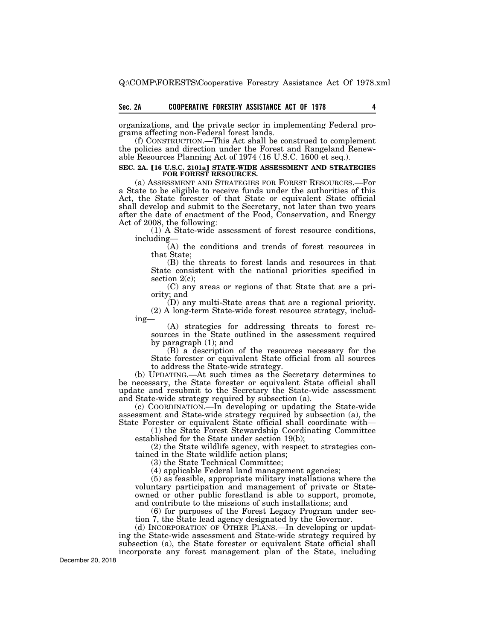organizations, and the private sector in implementing Federal programs affecting non-Federal forest lands.

(f) CONSTRUCTION.—This Act shall be construed to complement the policies and direction under the Forest and Rangeland Renewable Resources Planning Act of 1974 (16 U.S.C. 1600 et seq.).

# **SEC. 2A. [16 U.S.C. 2101a] STATE-WIDE ASSESSMENT AND STRATEGIES FOR FOREST RESOURCES.**

(a) ASSESSMENT AND STRATEGIES FOR FOREST RESOURCES.—For a State to be eligible to receive funds under the authorities of this Act, the State forester of that State or equivalent State official shall develop and submit to the Secretary, not later than two years after the date of enactment of the Food, Conservation, and Energy Act of 2008, the following:

(1) A State-wide assessment of forest resource conditions, including—

(A) the conditions and trends of forest resources in that State;

(B) the threats to forest lands and resources in that State consistent with the national priorities specified in section  $2(c)$ ;

(C) any areas or regions of that State that are a priority; and

(D) any multi-State areas that are a regional priority.

(2) A long-term State-wide forest resource strategy, including—

(A) strategies for addressing threats to forest resources in the State outlined in the assessment required by paragraph (1); and

(B) a description of the resources necessary for the State forester or equivalent State official from all sources to address the State-wide strategy.

(b) UPDATING.—At such times as the Secretary determines to be necessary, the State forester or equivalent State official shall update and resubmit to the Secretary the State-wide assessment and State-wide strategy required by subsection (a).

(c) COORDINATION.—In developing or updating the State-wide assessment and State-wide strategy required by subsection (a), the State Forester or equivalent State official shall coordinate with—

(1) the State Forest Stewardship Coordinating Committee established for the State under section 19(b);

(2) the State wildlife agency, with respect to strategies contained in the State wildlife action plans;

(3) the State Technical Committee;

(4) applicable Federal land management agencies;

(5) as feasible, appropriate military installations where the voluntary participation and management of private or Stateowned or other public forestland is able to support, promote, and contribute to the missions of such installations; and

(6) for purposes of the Forest Legacy Program under section 7, the State lead agency designated by the Governor.

(d) INCORPORATION OF OTHER PLANS.—In developing or updating the State-wide assessment and State-wide strategy required by subsection (a), the State forester or equivalent State official shall incorporate any forest management plan of the State, including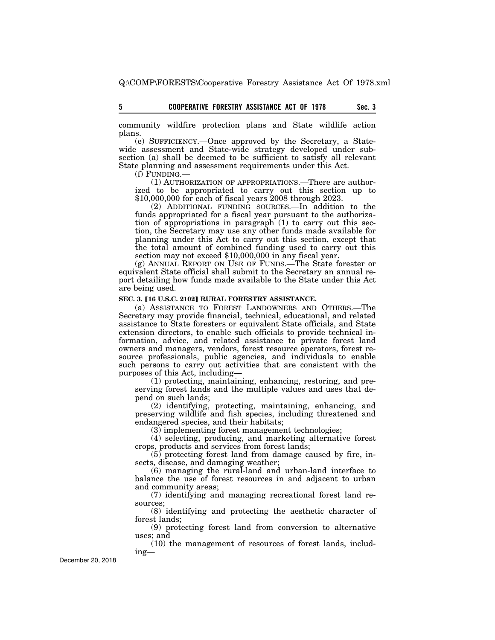community wildfire protection plans and State wildlife action plans.

(e) SUFFICIENCY.—Once approved by the Secretary, a Statewide assessment and State-wide strategy developed under subsection (a) shall be deemed to be sufficient to satisfy all relevant State planning and assessment requirements under this Act.

(f) FUNDING.—

(1) AUTHORIZATION OF APPROPRIATIONS.—There are authorized to be appropriated to carry out this section up to \$10,000,000 for each of fiscal years 2008 through 2023.

(2) ADDITIONAL FUNDING SOURCES.—In addition to the funds appropriated for a fiscal year pursuant to the authorization of appropriations in paragraph  $(1)$  to carry out this section, the Secretary may use any other funds made available for planning under this Act to carry out this section, except that the total amount of combined funding used to carry out this section may not exceed \$10,000,000 in any fiscal year.

(g) ANNUAL REPORT ON USE OF FUNDS.—The State forester or equivalent State official shall submit to the Secretary an annual report detailing how funds made available to the State under this Act are being used.

# **SEC. 3. [16 U.S.C. 2102] RURAL FORESTRY ASSISTANCE.**

(a) ASSISTANCE TO FOREST LANDOWNERS AND OTHERS.—The Secretary may provide financial, technical, educational, and related assistance to State foresters or equivalent State officials, and State extension directors, to enable such officials to provide technical information, advice, and related assistance to private forest land owners and managers, vendors, forest resource operators, forest resource professionals, public agencies, and individuals to enable such persons to carry out activities that are consistent with the purposes of this Act, including—

(1) protecting, maintaining, enhancing, restoring, and preserving forest lands and the multiple values and uses that depend on such lands;

(2) identifying, protecting, maintaining, enhancing, and preserving wildlife and fish species, including threatened and endangered species, and their habitats;

 $(3)$  implementing forest management technologies;

(4) selecting, producing, and marketing alternative forest crops, products and services from forest lands;

(5) protecting forest land from damage caused by fire, insects, disease, and damaging weather;

(6) managing the rural-land and urban-land interface to balance the use of forest resources in and adjacent to urban and community areas;

(7) identifying and managing recreational forest land resources;

(8) identifying and protecting the aesthetic character of forest lands;

(9) protecting forest land from conversion to alternative uses; and

(10) the management of resources of forest lands, including—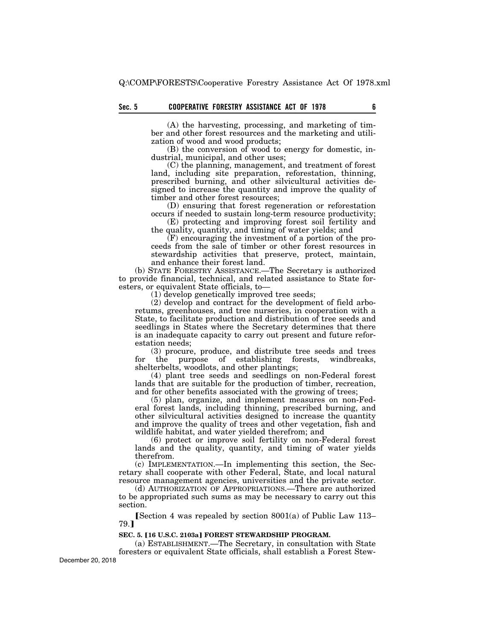(A) the harvesting, processing, and marketing of timber and other forest resources and the marketing and utilization of wood and wood products;

(B) the conversion of wood to energy for domestic, industrial, municipal, and other uses;

(C) the planning, management, and treatment of forest land, including site preparation, reforestation, thinning, prescribed burning, and other silvicultural activities designed to increase the quantity and improve the quality of timber and other forest resources;

(D) ensuring that forest regeneration or reforestation occurs if needed to sustain long-term resource productivity;

(E) protecting and improving forest soil fertility and the quality, quantity, and timing of water yields; and

(F) encouraging the investment of a portion of the proceeds from the sale of timber or other forest resources in stewardship activities that preserve, protect, maintain, and enhance their forest land.

(b) STATE FORESTRY ASSISTANCE.—The Secretary is authorized to provide financial, technical, and related assistance to State foresters, or equivalent State officials, to—

(1) develop genetically improved tree seeds;

(2) develop and contract for the development of field arboretums, greenhouses, and tree nurseries, in cooperation with a State, to facilitate production and distribution of tree seeds and seedlings in States where the Secretary determines that there is an inadequate capacity to carry out present and future reforestation needs;

(3) procure, produce, and distribute tree seeds and trees the purpose of establishing forests, windbreaks, for the purpose of establishing forests, shelterbelts, woodlots, and other plantings;

(4) plant tree seeds and seedlings on non-Federal forest lands that are suitable for the production of timber, recreation, and for other benefits associated with the growing of trees;

(5) plan, organize, and implement measures on non-Federal forest lands, including thinning, prescribed burning, and other silvicultural activities designed to increase the quantity and improve the quality of trees and other vegetation, fish and wildlife habitat, and water yielded therefrom; and

(6) protect or improve soil fertility on non-Federal forest lands and the quality, quantity, and timing of water yields therefrom.

(c) IMPLEMENTATION.—In implementing this section, the Secretary shall cooperate with other Federal, State, and local natural resource management agencies, universities and the private sector.

(d) AUTHORIZATION OF APPROPRIATIONS.—There are authorized to be appropriated such sums as may be necessary to carry out this section.

[Section 4 was repealed by section  $8001(a)$  of Public Law 113– 79.1

## **SEC. 5. [16 U.S.C. 2103a] FOREST STEWARDSHIP PROGRAM.**

(a) ESTABLISHMENT.—The Secretary, in consultation with State foresters or equivalent State officials, shall establish a Forest Stew-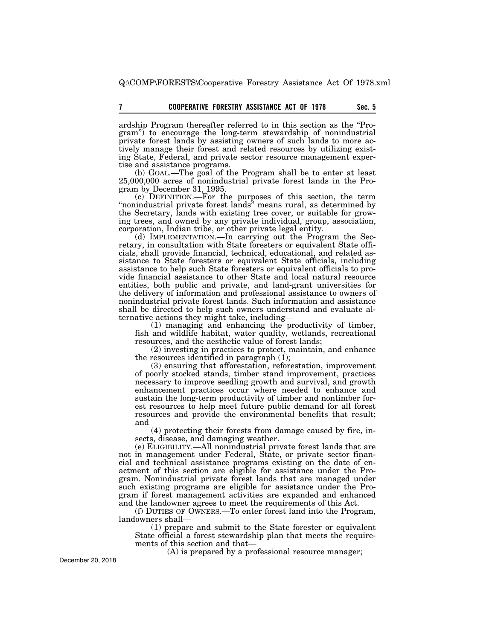ardship Program (hereafter referred to in this section as the ''Program'') to encourage the long-term stewardship of nonindustrial private forest lands by assisting owners of such lands to more actively manage their forest and related resources by utilizing existing State, Federal, and private sector resource management expertise and assistance programs.

(b) GOAL.—The goal of the Program shall be to enter at least 25,000,000 acres of nonindustrial private forest lands in the Program by December 31, 1995.

(c) DEFINITION.—For the purposes of this section, the term "nonindustrial private forest lands" means rural, as determined by the Secretary, lands with existing tree cover, or suitable for growing trees, and owned by any private individual, group, association, corporation, Indian tribe, or other private legal entity.

(d) IMPLEMENTATION.—In carrying out the Program the Secretary, in consultation with State foresters or equivalent State officials, shall provide financial, technical, educational, and related assistance to State foresters or equivalent State officials, including assistance to help such State foresters or equivalent officials to provide financial assistance to other State and local natural resource entities, both public and private, and land-grant universities for the delivery of information and professional assistance to owners of nonindustrial private forest lands. Such information and assistance shall be directed to help such owners understand and evaluate alternative actions they might take, including—

(1) managing and enhancing the productivity of timber, fish and wildlife habitat, water quality, wetlands, recreational resources, and the aesthetic value of forest lands;

(2) investing in practices to protect, maintain, and enhance the resources identified in paragraph (1);

(3) ensuring that afforestation, reforestation, improvement of poorly stocked stands, timber stand improvement, practices necessary to improve seedling growth and survival, and growth enhancement practices occur where needed to enhance and sustain the long-term productivity of timber and nontimber forest resources to help meet future public demand for all forest resources and provide the environmental benefits that result; and

(4) protecting their forests from damage caused by fire, insects, disease, and damaging weather.

(e) ELIGIBILITY.—All nonindustrial private forest lands that are not in management under Federal, State, or private sector financial and technical assistance programs existing on the date of enactment of this section are eligible for assistance under the Program. Nonindustrial private forest lands that are managed under such existing programs are eligible for assistance under the Program if forest management activities are expanded and enhanced and the landowner agrees to meet the requirements of this Act.

(f) DUTIES OF OWNERS.—To enter forest land into the Program, landowners shall—

(1) prepare and submit to the State forester or equivalent State official a forest stewardship plan that meets the requirements of this section and that—

(A) is prepared by a professional resource manager;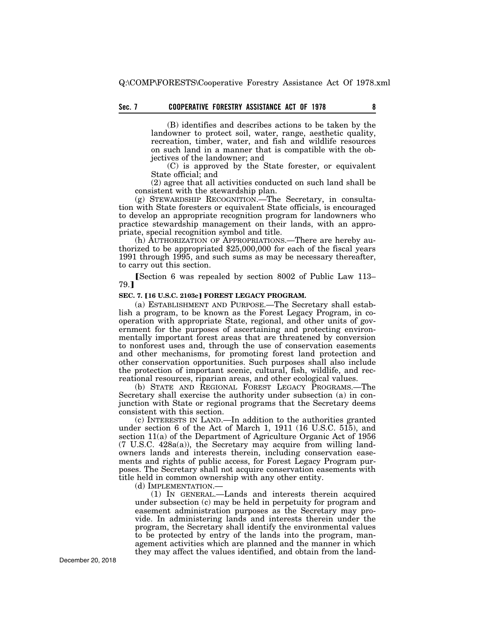# **Sec. 7 8 COOPERATIVE FORESTRY ASSISTANCE ACT OF 1978**

(B) identifies and describes actions to be taken by the landowner to protect soil, water, range, aesthetic quality, recreation, timber, water, and fish and wildlife resources on such land in a manner that is compatible with the objectives of the landowner; and

(C) is approved by the State forester, or equivalent State official; and

(2) agree that all activities conducted on such land shall be consistent with the stewardship plan.

(g) STEWARDSHIP RECOGNITION.—The Secretary, in consultation with State foresters or equivalent State officials, is encouraged to develop an appropriate recognition program for landowners who practice stewardship management on their lands, with an appropriate, special recognition symbol and title.

(h) AUTHORIZATION OF APPROPRIATIONS.—There are hereby authorized to be appropriated \$25,000,000 for each of the fiscal years 1991 through 1995, and such sums as may be necessary thereafter, to carry out this section.

Section 6 was repealed by section 8002 of Public Law 113– 79.¿

#### SEC. 7. [16 U.S.C. 2103c] FOREST LEGACY PROGRAM.

(a) ESTABLISHMENT AND PURPOSE.—The Secretary shall establish a program, to be known as the Forest Legacy Program, in cooperation with appropriate State, regional, and other units of government for the purposes of ascertaining and protecting environmentally important forest areas that are threatened by conversion to nonforest uses and, through the use of conservation easements and other mechanisms, for promoting forest land protection and other conservation opportunities. Such purposes shall also include the protection of important scenic, cultural, fish, wildlife, and recreational resources, riparian areas, and other ecological values.

(b) STATE AND REGIONAL FOREST LEGACY PROGRAMS.—The Secretary shall exercise the authority under subsection (a) in conjunction with State or regional programs that the Secretary deems consistent with this section.

(c) INTERESTS IN LAND.—In addition to the authorities granted under section 6 of the Act of March 1, 1911 (16 U.S.C. 515), and section 11(a) of the Department of Agriculture Organic Act of 1956 (7 U.S.C. 428a(a)), the Secretary may acquire from willing landowners lands and interests therein, including conservation easements and rights of public access, for Forest Legacy Program purposes. The Secretary shall not acquire conservation easements with title held in common ownership with any other entity.

(d) IMPLEMENTATION.—

(1) IN GENERAL.—Lands and interests therein acquired under subsection (c) may be held in perpetuity for program and easement administration purposes as the Secretary may provide. In administering lands and interests therein under the program, the Secretary shall identify the environmental values to be protected by entry of the lands into the program, management activities which are planned and the manner in which they may affect the values identified, and obtain from the land-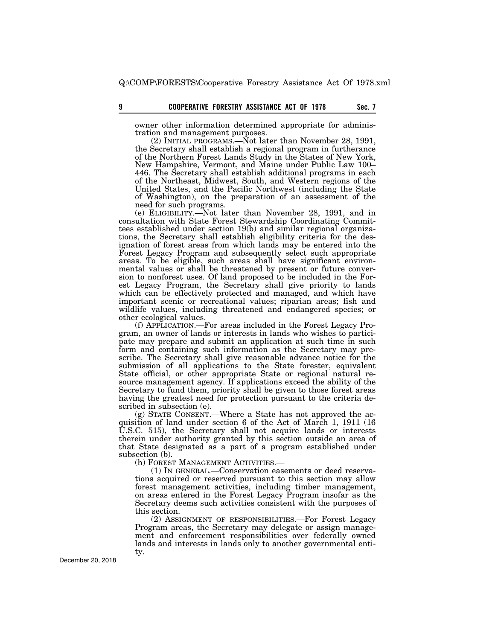owner other information determined appropriate for administration and management purposes.

(2) INITIAL PROGRAMS.—Not later than November 28, 1991, the Secretary shall establish a regional program in furtherance of the Northern Forest Lands Study in the States of New York, New Hampshire, Vermont, and Maine under Public Law 100– 446. The Secretary shall establish additional programs in each of the Northeast, Midwest, South, and Western regions of the United States, and the Pacific Northwest (including the State of Washington), on the preparation of an assessment of the need for such programs.

(e) ELIGIBILITY.—Not later than November 28, 1991, and in consultation with State Forest Stewardship Coordinating Committees established under section 19(b) and similar regional organizations, the Secretary shall establish eligibility criteria for the designation of forest areas from which lands may be entered into the Forest Legacy Program and subsequently select such appropriate areas. To be eligible, such areas shall have significant environmental values or shall be threatened by present or future conversion to nonforest uses. Of land proposed to be included in the Forest Legacy Program, the Secretary shall give priority to lands which can be effectively protected and managed, and which have important scenic or recreational values; riparian areas; fish and wildlife values, including threatened and endangered species; or other ecological values.

(f) APPLICATION.—For areas included in the Forest Legacy Program, an owner of lands or interests in lands who wishes to participate may prepare and submit an application at such time in such form and containing such information as the Secretary may prescribe. The Secretary shall give reasonable advance notice for the submission of all applications to the State forester, equivalent State official, or other appropriate State or regional natural resource management agency. If applications exceed the ability of the Secretary to fund them, priority shall be given to those forest areas having the greatest need for protection pursuant to the criteria described in subsection (e).

(g) STATE CONSENT.—Where a State has not approved the acquisition of land under section 6 of the Act of March 1, 1911 (16 U.S.C. 515), the Secretary shall not acquire lands or interests therein under authority granted by this section outside an area of that State designated as a part of a program established under subsection (b).

(h) FOREST MANAGEMENT ACTIVITIES.—

(1) IN GENERAL.—Conservation easements or deed reservations acquired or reserved pursuant to this section may allow forest management activities, including timber management, on areas entered in the Forest Legacy Program insofar as the Secretary deems such activities consistent with the purposes of this section.

(2) ASSIGNMENT OF RESPONSIBILITIES.—For Forest Legacy Program areas, the Secretary may delegate or assign management and enforcement responsibilities over federally owned lands and interests in lands only to another governmental entity.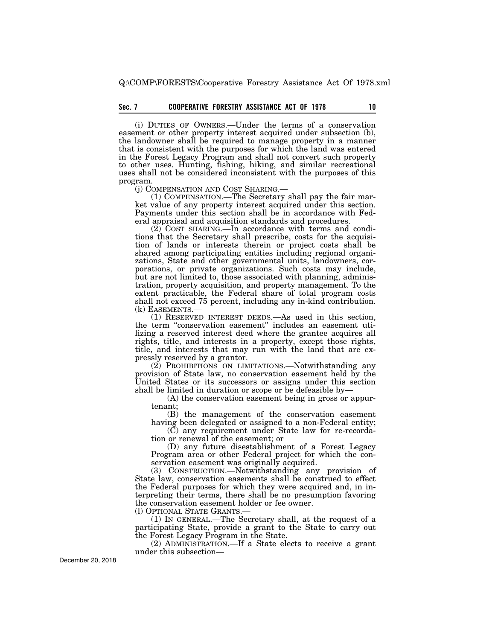# **Sec. 7 10 COOPERATIVE FORESTRY ASSISTANCE ACT OF 1978**

(i) DUTIES OF OWNERS.—Under the terms of a conservation easement or other property interest acquired under subsection (b), the landowner shall be required to manage property in a manner that is consistent with the purposes for which the land was entered in the Forest Legacy Program and shall not convert such property to other uses. Hunting, fishing, hiking, and similar recreational uses shall not be considered inconsistent with the purposes of this program.

(j) COMPENSATION AND COST SHARING.— (1) COMPENSATION.—The Secretary shall pay the fair market value of any property interest acquired under this section. Payments under this section shall be in accordance with Federal appraisal and acquisition standards and procedures.

 $(2)$  COST SHARING.—In accordance with terms and conditions that the Secretary shall prescribe, costs for the acquisition of lands or interests therein or project costs shall be shared among participating entities including regional organizations, State and other governmental units, landowners, corporations, or private organizations. Such costs may include, but are not limited to, those associated with planning, administration, property acquisition, and property management. To the extent practicable, the Federal share of total program costs shall not exceed 75 percent, including any in-kind contribution. (k) EASEMENTS.—

(1) RESERVED INTEREST DEEDS.—As used in this section, the term "conservation easement" includes an easement utilizing a reserved interest deed where the grantee acquires all rights, title, and interests in a property, except those rights, title, and interests that may run with the land that are expressly reserved by a grantor.

(2) PROHIBITIONS ON LIMITATIONS.—Notwithstanding any provision of State law, no conservation easement held by the United States or its successors or assigns under this section shall be limited in duration or scope or be defeasible by—

(A) the conservation easement being in gross or appurtenant;

(B) the management of the conservation easement having been delegated or assigned to a non-Federal entity;

(C) any requirement under State law for re-recordation or renewal of the easement; or

(D) any future disestablishment of a Forest Legacy Program area or other Federal project for which the conservation easement was originally acquired.

(3) CONSTRUCTION.—Notwithstanding any provision of State law, conservation easements shall be construed to effect the Federal purposes for which they were acquired and, in interpreting their terms, there shall be no presumption favoring the conservation easement holder or fee owner.

(l) OPTIONAL STATE GRANTS.—

(1) IN GENERAL.—The Secretary shall, at the request of a participating State, provide a grant to the State to carry out the Forest Legacy Program in the State.

(2) ADMINISTRATION.—If a State elects to receive a grant under this subsection—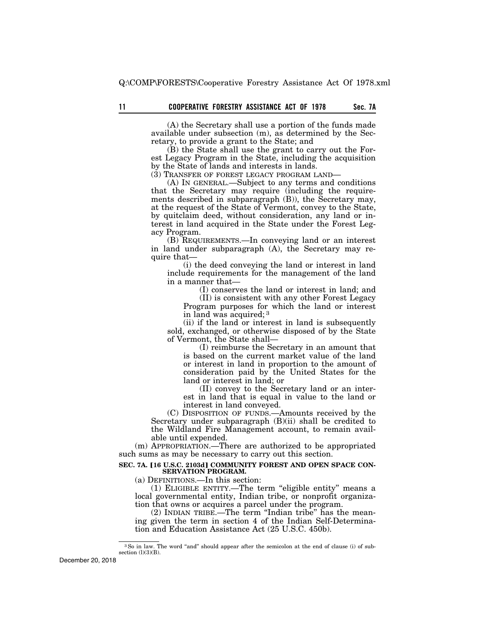(A) the Secretary shall use a portion of the funds made available under subsection (m), as determined by the Secretary, to provide a grant to the State; and

(B) the State shall use the grant to carry out the Forest Legacy Program in the State, including the acquisition by the State of lands and interests in lands.

(3) TRANSFER OF FOREST LEGACY PROGRAM LAND—

(A) IN GENERAL.—Subject to any terms and conditions that the Secretary may require (including the requirements described in subparagraph (B)), the Secretary may, at the request of the State of Vermont, convey to the State, by quitclaim deed, without consideration, any land or interest in land acquired in the State under the Forest Legacy Program.

(B) REQUIREMENTS.—In conveying land or an interest in land under subparagraph (A), the Secretary may require that—

(i) the deed conveying the land or interest in land include requirements for the management of the land in a manner that—

(I) conserves the land or interest in land; and

(II) is consistent with any other Forest Legacy Program purposes for which the land or interest in land was acquired; 3

(ii) if the land or interest in land is subsequently sold, exchanged, or otherwise disposed of by the State of Vermont, the State shall—

(I) reimburse the Secretary in an amount that is based on the current market value of the land or interest in land in proportion to the amount of consideration paid by the United States for the land or interest in land; or

(II) convey to the Secretary land or an interest in land that is equal in value to the land or interest in land conveyed.

(C) DISPOSITION OF FUNDS.—Amounts received by the Secretary under subparagraph (B)(ii) shall be credited to the Wildland Fire Management account, to remain available until expended.

(m) APPROPRIATION.—There are authorized to be appropriated such sums as may be necessary to carry out this section.

## SEC. 7A. [16 U.S.C. 2103d] COMMUNITY FOREST AND OPEN SPACE CON-**SERVATION PROGRAM.**

(a) DEFINITIONS.—In this section:

(1) ELIGIBLE ENTITY.—The term ''eligible entity'' means a local governmental entity, Indian tribe, or nonprofit organization that owns or acquires a parcel under the program.

(2) INDIAN TRIBE.—The term ''Indian tribe'' has the meaning given the term in section 4 of the Indian Self-Determination and Education Assistance Act (25 U.S.C. 450b).

<sup>&</sup>lt;sup>3</sup>So in law. The word "and" should appear after the semicolon at the end of clause (i) of subsection  $(l)(3)(B)$ .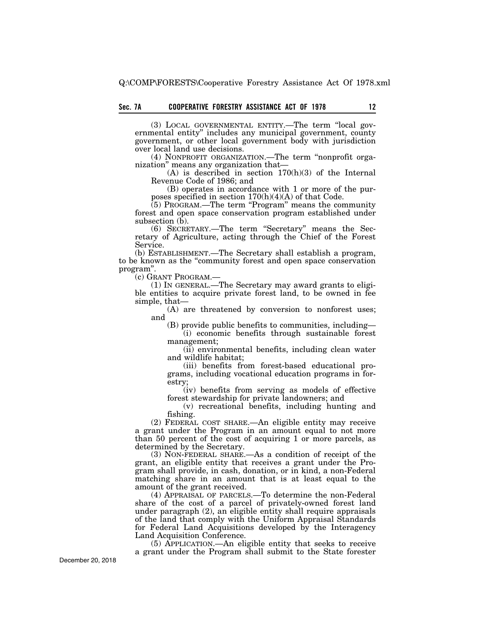(3) LOCAL GOVERNMENTAL ENTITY.—The term ''local governmental entity'' includes any municipal government, county government, or other local government body with jurisdiction over local land use decisions.

(4) NONPROFIT ORGANIZATION.—The term ''nonprofit organization'' means any organization that—

(A) is described in section 170(h)(3) of the Internal Revenue Code of 1986; and

(B) operates in accordance with 1 or more of the purposes specified in section  $170(h)(4)(A)$  of that Code.

 $(5)$  PROGRAM.—The term "Program" means the community forest and open space conservation program established under subsection (b).

(6) SECRETARY.—The term ''Secretary'' means the Secretary of Agriculture, acting through the Chief of the Forest Service.

(b) ESTABLISHMENT.—The Secretary shall establish a program, to be known as the ''community forest and open space conservation program".<br>
(c) GRANT PROGRAM.-

(1) IN GENERAL.— The Secretary may award grants to eligible entities to acquire private forest land, to be owned in fee simple, that—

(A) are threatened by conversion to nonforest uses; and

(B) provide public benefits to communities, including—

(i) economic benefits through sustainable forest management;

(ii) environmental benefits, including clean water and wildlife habitat;

(iii) benefits from forest-based educational programs, including vocational education programs in forestry;

(iv) benefits from serving as models of effective forest stewardship for private landowners; and

(v) recreational benefits, including hunting and fishing.

(2) FEDERAL COST SHARE.—An eligible entity may receive a grant under the Program in an amount equal to not more than 50 percent of the cost of acquiring 1 or more parcels, as determined by the Secretary.

(3) NON-FEDERAL SHARE.—As a condition of receipt of the grant, an eligible entity that receives a grant under the Program shall provide, in cash, donation, or in kind, a non-Federal matching share in an amount that is at least equal to the amount of the grant received.

(4) APPRAISAL OF PARCELS.—To determine the non-Federal share of the cost of a parcel of privately-owned forest land under paragraph (2), an eligible entity shall require appraisals of the land that comply with the Uniform Appraisal Standards for Federal Land Acquisitions developed by the Interagency Land Acquisition Conference.

(5) APPLICATION.—An eligible entity that seeks to receive a grant under the Program shall submit to the State forester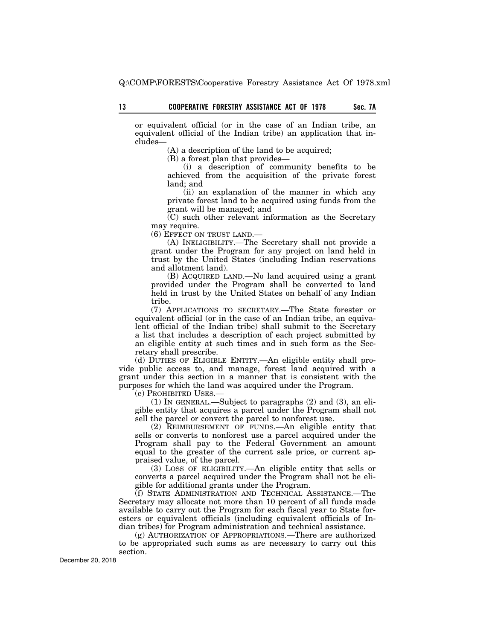or equivalent official (or in the case of an Indian tribe, an equivalent official of the Indian tribe) an application that includes—

(A) a description of the land to be acquired;

(B) a forest plan that provides—

(i) a description of community benefits to be achieved from the acquisition of the private forest land; and

(ii) an explanation of the manner in which any private forest land to be acquired using funds from the grant will be managed; and

(C) such other relevant information as the Secretary may require.

(6) EFFECT ON TRUST LAND.—

(A) INELIGIBILITY.—The Secretary shall not provide a grant under the Program for any project on land held in trust by the United States (including Indian reservations and allotment land).

(B) ACQUIRED LAND.—No land acquired using a grant provided under the Program shall be converted to land held in trust by the United States on behalf of any Indian tribe.

(7) APPLICATIONS TO SECRETARY.—The State forester or equivalent official (or in the case of an Indian tribe, an equivalent official of the Indian tribe) shall submit to the Secretary a list that includes a description of each project submitted by an eligible entity at such times and in such form as the Secretary shall prescribe.

(d) DUTIES OF ELIGIBLE ENTITY.—An eligible entity shall provide public access to, and manage, forest land acquired with a grant under this section in a manner that is consistent with the purposes for which the land was acquired under the Program.

(e) PROHIBITED USES.—

(1) IN GENERAL.—Subject to paragraphs (2) and (3), an eligible entity that acquires a parcel under the Program shall not sell the parcel or convert the parcel to nonforest use.

(2) REIMBURSEMENT OF FUNDS.—An eligible entity that sells or converts to nonforest use a parcel acquired under the Program shall pay to the Federal Government an amount equal to the greater of the current sale price, or current appraised value, of the parcel.

(3) LOSS OF ELIGIBILITY.—An eligible entity that sells or converts a parcel acquired under the Program shall not be eligible for additional grants under the Program.

(f) STATE ADMINISTRATION AND TECHNICAL ASSISTANCE.—The Secretary may allocate not more than 10 percent of all funds made available to carry out the Program for each fiscal year to State foresters or equivalent officials (including equivalent officials of Indian tribes) for Program administration and technical assistance.

(g) AUTHORIZATION OF APPROPRIATIONS.—There are authorized to be appropriated such sums as are necessary to carry out this section.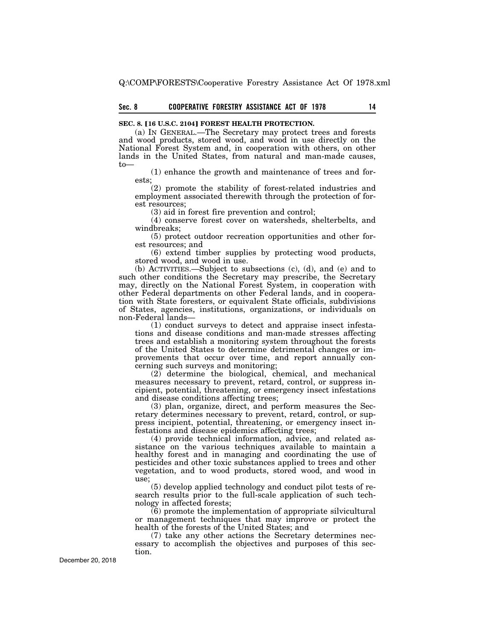# **Sec. 8 14 COOPERATIVE FORESTRY ASSISTANCE ACT OF 1978**

## **SEC. 8. [16 U.S.C. 2104] FOREST HEALTH PROTECTION.**

(a) IN GENERAL.—The Secretary may protect trees and forests and wood products, stored wood, and wood in use directly on the National Forest System and, in cooperation with others, on other lands in the United States, from natural and man-made causes, to—

(1) enhance the growth and maintenance of trees and forests;

(2) promote the stability of forest-related industries and employment associated therewith through the protection of forest resources;

(3) aid in forest fire prevention and control;

(4) conserve forest cover on watersheds, shelterbelts, and windbreaks;

(5) protect outdoor recreation opportunities and other forest resources; and

(6) extend timber supplies by protecting wood products, stored wood, and wood in use.

(b) ACTIVITIES.—Subject to subsections (c), (d), and (e) and to such other conditions the Secretary may prescribe, the Secretary may, directly on the National Forest System, in cooperation with other Federal departments on other Federal lands, and in cooperation with State foresters, or equivalent State officials, subdivisions of States, agencies, institutions, organizations, or individuals on non-Federal lands—

(1) conduct surveys to detect and appraise insect infestations and disease conditions and man-made stresses affecting trees and establish a monitoring system throughout the forests of the United States to determine detrimental changes or improvements that occur over time, and report annually concerning such surveys and monitoring;

(2) determine the biological, chemical, and mechanical measures necessary to prevent, retard, control, or suppress incipient, potential, threatening, or emergency insect infestations and disease conditions affecting trees;

(3) plan, organize, direct, and perform measures the Secretary determines necessary to prevent, retard, control, or suppress incipient, potential, threatening, or emergency insect infestations and disease epidemics affecting trees;

(4) provide technical information, advice, and related assistance on the various techniques available to maintain a healthy forest and in managing and coordinating the use of pesticides and other toxic substances applied to trees and other vegetation, and to wood products, stored wood, and wood in use;

(5) develop applied technology and conduct pilot tests of research results prior to the full-scale application of such technology in affected forests;

(6) promote the implementation of appropriate silvicultural or management techniques that may improve or protect the health of the forests of the United States; and

(7) take any other actions the Secretary determines necessary to accomplish the objectives and purposes of this section.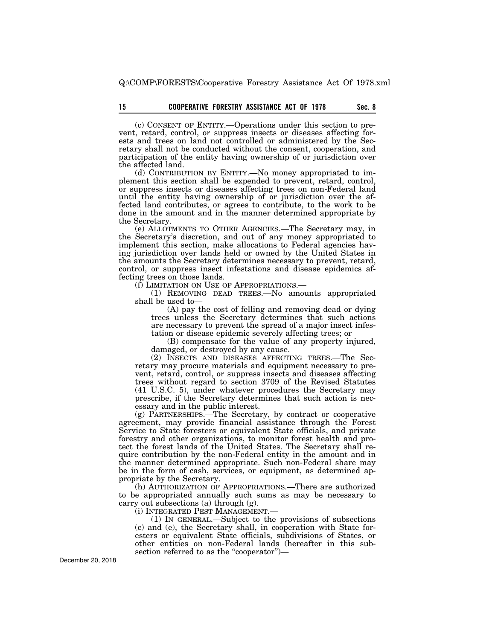# 15 **COOPERATIVE FORESTRY ASSISTANCE ACT OF 1978** Sec. 8

(c) CONSENT OF ENTITY.—Operations under this section to prevent, retard, control, or suppress insects or diseases affecting forests and trees on land not controlled or administered by the Secretary shall not be conducted without the consent, cooperation, and participation of the entity having ownership of or jurisdiction over the affected land.

(d) CONTRIBUTION BY ENTITY.—No money appropriated to implement this section shall be expended to prevent, retard, control, or suppress insects or diseases affecting trees on non-Federal land until the entity having ownership of or jurisdiction over the affected land contributes, or agrees to contribute, to the work to be done in the amount and in the manner determined appropriate by the Secretary.

(e) ALLOTMENTS TO OTHER AGENCIES.—The Secretary may, in the Secretary's discretion, and out of any money appropriated to implement this section, make allocations to Federal agencies having jurisdiction over lands held or owned by the United States in the amounts the Secretary determines necessary to prevent, retard, control, or suppress insect infestations and disease epidemics affecting trees on those lands.<br>(f) LIMITATION ON USE OF APPROPRIATIONS.—

(1) REMOVING DEAD TREES.—No amounts appropriated shall be used to—

(A) pay the cost of felling and removing dead or dying trees unless the Secretary determines that such actions are necessary to prevent the spread of a major insect infestation or disease epidemic severely affecting trees; or

(B) compensate for the value of any property injured, damaged, or destroyed by any cause.

(2) INSECTS AND DISEASES AFFECTING TREES.—The Secretary may procure materials and equipment necessary to prevent, retard, control, or suppress insects and diseases affecting trees without regard to section 3709 of the Revised Statutes (41 U.S.C. 5), under whatever procedures the Secretary may prescribe, if the Secretary determines that such action is necessary and in the public interest.

(g) PARTNERSHIPS.—The Secretary, by contract or cooperative agreement, may provide financial assistance through the Forest Service to State foresters or equivalent State officials, and private forestry and other organizations, to monitor forest health and protect the forest lands of the United States. The Secretary shall require contribution by the non-Federal entity in the amount and in the manner determined appropriate. Such non-Federal share may be in the form of cash, services, or equipment, as determined appropriate by the Secretary.

(h) AUTHORIZATION OF APPROPRIATIONS.—There are authorized to be appropriated annually such sums as may be necessary to carry out subsections (a) through (g).

(i) INTEGRATED PEST MANAGEMENT.—

(1) IN GENERAL.—Subject to the provisions of subsections (c) and (e), the Secretary shall, in cooperation with State foresters or equivalent State officials, subdivisions of States, or other entities on non-Federal lands (hereafter in this subsection referred to as the "cooperator")—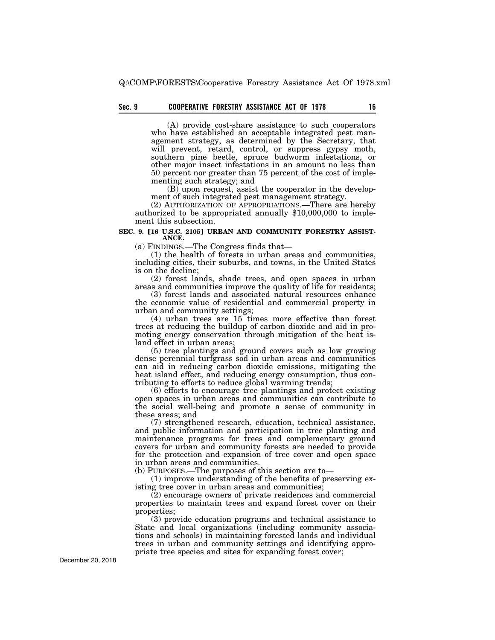# **Sec. 9 16 COOPERATIVE FORESTRY ASSISTANCE ACT OF 1978**

(A) provide cost-share assistance to such cooperators who have established an acceptable integrated pest management strategy, as determined by the Secretary, that will prevent, retard, control, or suppress gypsy moth, southern pine beetle, spruce budworm infestations, or other major insect infestations in an amount no less than 50 percent nor greater than 75 percent of the cost of implementing such strategy; and

(B) upon request, assist the cooperator in the development of such integrated pest management strategy.<br>(2) AUTHORIZATION OF APPROPRIATIONS.—There are hereby

authorized to be appropriated annually \$10,000,000 to implement this subsection.

#### SEC. 9. [16 U.S.C. 2105] URBAN AND COMMUNITY FORESTRY ASSIST-**ANCE.**

(a) FINDINGS.—The Congress finds that—

(1) the health of forests in urban areas and communities, including cities, their suburbs, and towns, in the United States is on the decline;

(2) forest lands, shade trees, and open spaces in urban areas and communities improve the quality of life for residents;

(3) forest lands and associated natural resources enhance the economic value of residential and commercial property in urban and community settings;

(4) urban trees are 15 times more effective than forest trees at reducing the buildup of carbon dioxide and aid in promoting energy conservation through mitigation of the heat island effect in urban areas;

(5) tree plantings and ground covers such as low growing dense perennial turfgrass sod in urban areas and communities can aid in reducing carbon dioxide emissions, mitigating the heat island effect, and reducing energy consumption, thus contributing to efforts to reduce global warming trends;

(6) efforts to encourage tree plantings and protect existing open spaces in urban areas and communities can contribute to the social well-being and promote a sense of community in these areas; and

(7) strengthened research, education, technical assistance, and public information and participation in tree planting and maintenance programs for trees and complementary ground covers for urban and community forests are needed to provide for the protection and expansion of tree cover and open space in urban areas and communities.

(b) PURPOSES.—The purposes of this section are to—

(1) improve understanding of the benefits of preserving existing tree cover in urban areas and communities;

 $(2)$  encourage owners of private residences and commercial properties to maintain trees and expand forest cover on their properties;

(3) provide education programs and technical assistance to State and local organizations (including community associations and schools) in maintaining forested lands and individual trees in urban and community settings and identifying appropriate tree species and sites for expanding forest cover;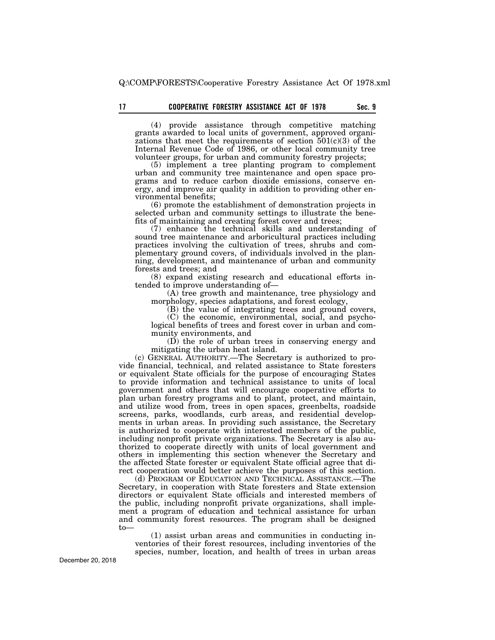(4) provide assistance through competitive matching grants awarded to local units of government, approved organizations that meet the requirements of section  $501(c)(3)$  of the Internal Revenue Code of 1986, or other local community tree volunteer groups, for urban and community forestry projects;

(5) implement a tree planting program to complement urban and community tree maintenance and open space programs and to reduce carbon dioxide emissions, conserve energy, and improve air quality in addition to providing other environmental benefits;

(6) promote the establishment of demonstration projects in selected urban and community settings to illustrate the benefits of maintaining and creating forest cover and trees;

(7) enhance the technical skills and understanding of sound tree maintenance and arboricultural practices including practices involving the cultivation of trees, shrubs and complementary ground covers, of individuals involved in the planning, development, and maintenance of urban and community forests and trees; and

(8) expand existing research and educational efforts intended to improve understanding of—

(A) tree growth and maintenance, tree physiology and morphology, species adaptations, and forest ecology,

(B) the value of integrating trees and ground covers,

(C) the economic, environmental, social, and psychological benefits of trees and forest cover in urban and community environments, and

(D) the role of urban trees in conserving energy and mitigating the urban heat island.

(c) GENERAL AUTHORITY.—The Secretary is authorized to provide financial, technical, and related assistance to State foresters or equivalent State officials for the purpose of encouraging States to provide information and technical assistance to units of local government and others that will encourage cooperative efforts to plan urban forestry programs and to plant, protect, and maintain, and utilize wood from, trees in open spaces, greenbelts, roadside screens, parks, woodlands, curb areas, and residential developments in urban areas. In providing such assistance, the Secretary is authorized to cooperate with interested members of the public, including nonprofit private organizations. The Secretary is also authorized to cooperate directly with units of local government and others in implementing this section whenever the Secretary and the affected State forester or equivalent State official agree that direct cooperation would better achieve the purposes of this section.

(d) PROGRAM OF EDUCATION AND TECHNICAL ASSISTANCE.—The Secretary, in cooperation with State foresters and State extension directors or equivalent State officials and interested members of the public, including nonprofit private organizations, shall implement a program of education and technical assistance for urban and community forest resources. The program shall be designed to—

(1) assist urban areas and communities in conducting inventories of their forest resources, including inventories of the species, number, location, and health of trees in urban areas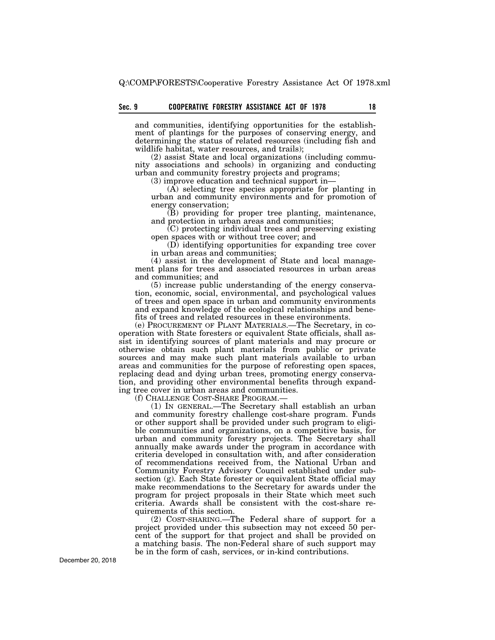and communities, identifying opportunities for the establishment of plantings for the purposes of conserving energy, and determining the status of related resources (including fish and wildlife habitat, water resources, and trails);

(2) assist State and local organizations (including community associations and schools) in organizing and conducting urban and community forestry projects and programs;

(3) improve education and technical support in—

(A) selecting tree species appropriate for planting in urban and community environments and for promotion of energy conservation;

 $(B)$  providing for proper tree planting, maintenance, and protection in urban areas and communities;

 $(C)$  protecting individual trees and preserving existing open spaces with or without tree cover; and

(D) identifying opportunities for expanding tree cover in urban areas and communities;

(4) assist in the development of State and local management plans for trees and associated resources in urban areas and communities; and

(5) increase public understanding of the energy conservation, economic, social, environmental, and psychological values of trees and open space in urban and community environments and expand knowledge of the ecological relationships and benefits of trees and related resources in these environments.

(e) PROCUREMENT OF PLANT MATERIALS.—The Secretary, in cooperation with State foresters or equivalent State officials, shall assist in identifying sources of plant materials and may procure or otherwise obtain such plant materials from public or private sources and may make such plant materials available to urban areas and communities for the purpose of reforesting open spaces, replacing dead and dying urban trees, promoting energy conservation, and providing other environmental benefits through expanding tree cover in urban areas and communities.

(f) CHALLENGE COST-SHARE PROGRAM.—

(1) IN GENERAL.—The Secretary shall establish an urban and community forestry challenge cost-share program. Funds or other support shall be provided under such program to eligible communities and organizations, on a competitive basis, for urban and community forestry projects. The Secretary shall annually make awards under the program in accordance with criteria developed in consultation with, and after consideration of recommendations received from, the National Urban and Community Forestry Advisory Council established under subsection (g). Each State forester or equivalent State official may make recommendations to the Secretary for awards under the program for project proposals in their State which meet such criteria. Awards shall be consistent with the cost-share requirements of this section.

(2) COST-SHARING.—The Federal share of support for a project provided under this subsection may not exceed 50 percent of the support for that project and shall be provided on a matching basis. The non-Federal share of such support may be in the form of cash, services, or in-kind contributions.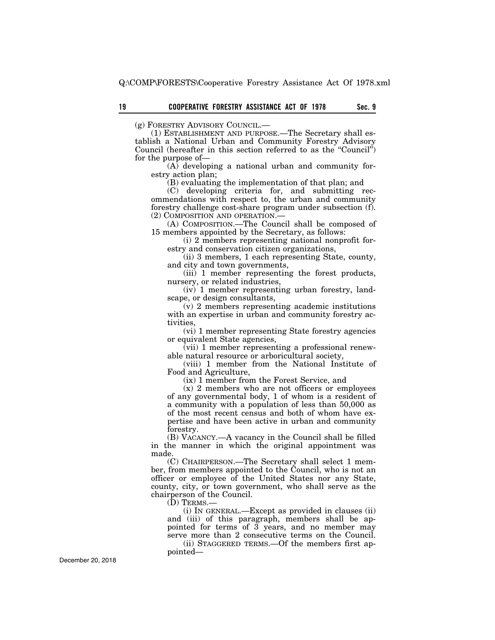(g) FORESTRY ADVISORY COUNCIL.—

(1) ESTABLISHMENT AND PURPOSE.—The Secretary shall establish a National Urban and Community Forestry Advisory Council (hereafter in this section referred to as the ''Council'') for the purpose of—

(A) developing a national urban and community forestry action plan;

(B) evaluating the implementation of that plan; and

(C) developing criteria for, and submitting recommendations with respect to, the urban and community forestry challenge cost-share program under subsection (f). (2) COMPOSITION AND OPERATION.—

(A) COMPOSITION.—The Council shall be composed of 15 members appointed by the Secretary, as follows:

(i) 2 members representing national nonprofit forestry and conservation citizen organizations,

(ii) 3 members, 1 each representing State, county, and city and town governments,

(iii) 1 member representing the forest products, nursery, or related industries,

(iv) 1 member representing urban forestry, landscape, or design consultants,

(v) 2 members representing academic institutions with an expertise in urban and community forestry activities,

(vi) 1 member representing State forestry agencies or equivalent State agencies,

(vii) 1 member representing a professional renewable natural resource or arboricultural society,

(viii) 1 member from the National Institute of Food and Agriculture,

(ix) 1 member from the Forest Service, and

(x) 2 members who are not officers or employees of any governmental body, 1 of whom is a resident of a community with a population of less than 50,000 as of the most recent census and both of whom have expertise and have been active in urban and community forestry.

(B) VACANCY.—A vacancy in the Council shall be filled in the manner in which the original appointment was made.

(C) CHAIRPERSON.—The Secretary shall select 1 member, from members appointed to the Council, who is not an officer or employee of the United States nor any State, county, city, or town government, who shall serve as the chairperson of the Council.

(D) TERMS.—

(i) IN GENERAL.—Except as provided in clauses (ii) and (iii) of this paragraph, members shall be appointed for terms of 3 years, and no member may serve more than 2 consecutive terms on the Council.

(ii) STAGGERED TERMS.—Of the members first appointed—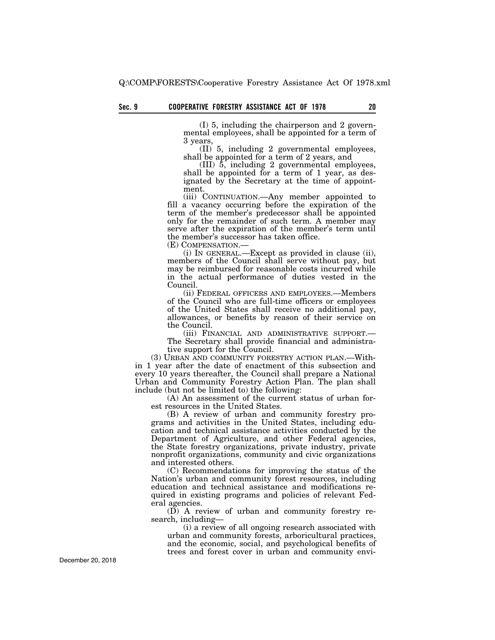(I) 5, including the chairperson and 2 governmental employees, shall be appointed for a term of 3 years,

(II) 5, including 2 governmental employees, shall be appointed for a term of 2 years, and

(III) 5, including 2 governmental employees, shall be appointed for a term of 1 year, as designated by the Secretary at the time of appointment.

(iii) CONTINUATION.—Any member appointed to fill a vacancy occurring before the expiration of the term of the member's predecessor shall be appointed only for the remainder of such term. A member may serve after the expiration of the member's term until the member's successor has taken office.

(E) COMPENSATION.— (i) IN GENERAL.—Except as provided in clause (ii), members of the Council shall serve without pay, but may be reimbursed for reasonable costs incurred while in the actual performance of duties vested in the Council.

(ii) FEDERAL OFFICERS AND EMPLOYEES.—Members of the Council who are full-time officers or employees of the United States shall receive no additional pay, allowances, or benefits by reason of their service on the Council.

(iii) FINANCIAL AND ADMINISTRATIVE SUPPORT.— The Secretary shall provide financial and administrative support for the Council.

(3) URBAN AND COMMUNITY FORESTRY ACTION PLAN.—Within 1 year after the date of enactment of this subsection and every 10 years thereafter, the Council shall prepare a National Urban and Community Forestry Action Plan. The plan shall include (but not be limited to) the following:

(A) An assessment of the current status of urban forest resources in the United States.

(B) A review of urban and community forestry programs and activities in the United States, including education and technical assistance activities conducted by the Department of Agriculture, and other Federal agencies, the State forestry organizations, private industry, private nonprofit organizations, community and civic organizations and interested others.

(C) Recommendations for improving the status of the Nation's urban and community forest resources, including education and technical assistance and modifications required in existing programs and policies of relevant Federal agencies.

(D) A review of urban and community forestry research, including—

(i) a review of all ongoing research associated with urban and community forests, arboricultural practices, and the economic, social, and psychological benefits of trees and forest cover in urban and community envi-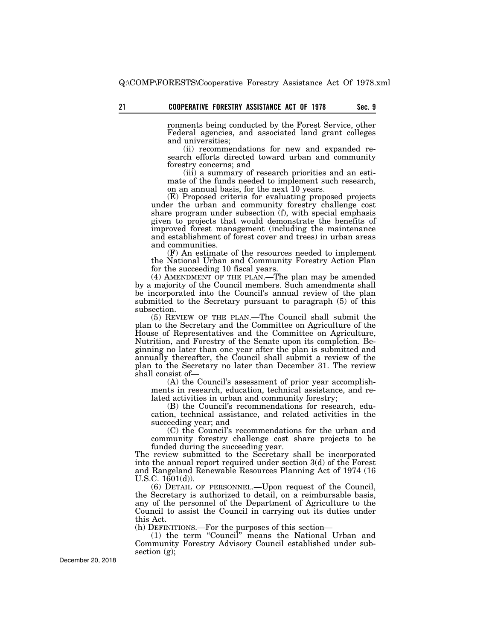ronments being conducted by the Forest Service, other Federal agencies, and associated land grant colleges and universities;

(ii) recommendations for new and expanded research efforts directed toward urban and community forestry concerns; and

(iii) a summary of research priorities and an estimate of the funds needed to implement such research, on an annual basis, for the next 10 years.

(E) Proposed criteria for evaluating proposed projects under the urban and community forestry challenge cost share program under subsection (f), with special emphasis given to projects that would demonstrate the benefits of improved forest management (including the maintenance and establishment of forest cover and trees) in urban areas and communities.

(F) An estimate of the resources needed to implement the National Urban and Community Forestry Action Plan for the succeeding 10 fiscal years.

(4) AMENDMENT OF THE PLAN.—The plan may be amended by a majority of the Council members. Such amendments shall be incorporated into the Council's annual review of the plan submitted to the Secretary pursuant to paragraph (5) of this subsection.

(5) REVIEW OF THE PLAN.—The Council shall submit the plan to the Secretary and the Committee on Agriculture of the House of Representatives and the Committee on Agriculture, Nutrition, and Forestry of the Senate upon its completion. Beginning no later than one year after the plan is submitted and annually thereafter, the Council shall submit a review of the plan to the Secretary no later than December 31. The review shall consist of—

(A) the Council's assessment of prior year accomplishments in research, education, technical assistance, and related activities in urban and community forestry;

(B) the Council's recommendations for research, education, technical assistance, and related activities in the succeeding year; and

(C) the Council's recommendations for the urban and community forestry challenge cost share projects to be funded during the succeeding year.

The review submitted to the Secretary shall be incorporated into the annual report required under section 3(d) of the Forest and Rangeland Renewable Resources Planning Act of 1974 (16 U.S.C. 1601(d)).

(6) DETAIL OF PERSONNEL.—Upon request of the Council, the Secretary is authorized to detail, on a reimbursable basis, any of the personnel of the Department of Agriculture to the Council to assist the Council in carrying out its duties under this Act.

(h) DEFINITIONS.—For the purposes of this section—

(1) the term ''Council'' means the National Urban and Community Forestry Advisory Council established under subsection (g);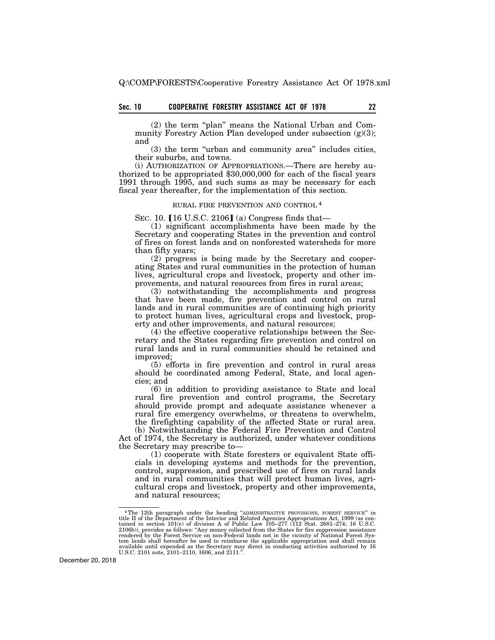# **Sec. 10 22 COOPERATIVE FORESTRY ASSISTANCE ACT OF 1978**

(2) the term "plan" means the National Urban and Community Forestry Action Plan developed under subsection (g)(3); and

(3) the term ''urban and community area'' includes cities, their suburbs, and towns.

(i) AUTHORIZATION OF APPROPRIATIONS.—There are hereby authorized to be appropriated \$30,000,000 for each of the fiscal years 1991 through 1995, and such sums as may be necessary for each fiscal year thereafter, for the implementation of this section.

## RURAL FIRE PREVENTION AND CONTROL 4

SEC. 10.  $[16 \text{ U.S.C. } 2106]$  (a) Congress finds that—

(1) significant accomplishments have been made by the Secretary and cooperating States in the prevention and control of fires on forest lands and on nonforested watersheds for more than fifty years;

(2) progress is being made by the Secretary and cooperating States and rural communities in the protection of human lives, agricultural crops and livestock, property and other improvements, and natural resources from fires in rural areas;

(3) notwithstanding the accomplishments and progress that have been made, fire prevention and control on rural lands and in rural communities are of continuing high priority to protect human lives, agricultural crops and livestock, property and other improvements, and natural resources;

(4) the effective cooperative relationships between the Secretary and the States regarding fire prevention and control on rural lands and in rural communities should be retained and improved;

(5) efforts in fire prevention and control in rural areas should be coordinated among Federal, State, and local agencies; and

(6) in addition to providing assistance to State and local rural fire prevention and control programs, the Secretary should provide prompt and adequate assistance whenever a rural fire emergency overwhelms, or threatens to overwhelm, the firefighting capability of the affected State or rural area.

(b) Notwithstanding the Federal Fire Prevention and Control Act of 1974, the Secretary is authorized, under whatever conditions the Secretary may prescribe to—

(1) cooperate with State foresters or equivalent State officials in developing systems and methods for the prevention, control, suppression, and prescribed use of fires on rural lands and in rural communities that will protect human lives, agricultural crops and livestock, property and other improvements, and natural resources;

<sup>&</sup>lt;sup>4</sup> The 12th paragraph under the heading "ADMINISTRATIVE PROVISIONS, FOREST SERVICE" in title II of the Department of the Interior and Related Agencies Appropriations Act, 1999 (as contained in section 101(e) of division tem lands shall hereafter be used to reimburse the applicable appropriation and shall remain available until expended as the Secretary may direct in conducting activities authorized by 16 U.S.C. 2101 note, 2101–2110, 1606, and 2111.''.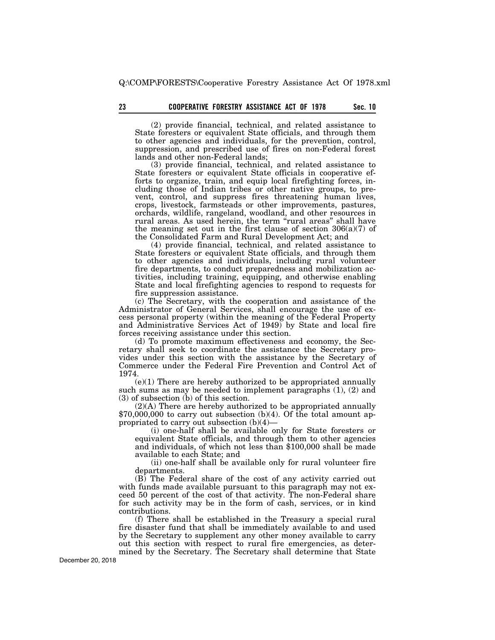(2) provide financial, technical, and related assistance to State foresters or equivalent State officials, and through them to other agencies and individuals, for the prevention, control, suppression, and prescribed use of fires on non-Federal forest lands and other non-Federal lands;

(3) provide financial, technical, and related assistance to State foresters or equivalent State officials in cooperative efforts to organize, train, and equip local firefighting forces, including those of Indian tribes or other native groups, to prevent, control, and suppress fires threatening human lives, crops, livestock, farmsteads or other improvements, pastures, orchards, wildlife, rangeland, woodland, and other resources in rural areas. As used herein, the term ''rural areas'' shall have the meaning set out in the first clause of section  $306(a)(7)$  of the Consolidated Farm and Rural Development Act; and

(4) provide financial, technical, and related assistance to State foresters or equivalent State officials, and through them to other agencies and individuals, including rural volunteer fire departments, to conduct preparedness and mobilization activities, including training, equipping, and otherwise enabling State and local firefighting agencies to respond to requests for fire suppression assistance.

(c) The Secretary, with the cooperation and assistance of the Administrator of General Services, shall encourage the use of excess personal property (within the meaning of the Federal Property and Administrative Services Act of 1949) by State and local fire forces receiving assistance under this section.

(d) To promote maximum effectiveness and economy, the Secretary shall seek to coordinate the assistance the Secretary provides under this section with the assistance by the Secretary of Commerce under the Federal Fire Prevention and Control Act of 1974.

(e)(1) There are hereby authorized to be appropriated annually such sums as may be needed to implement paragraphs (1), (2) and (3) of subsection (b) of this section.<br>(2)(A) There are hereby authorized to be appropriated annually

 $$70,000,000$  to carry out subsection (b)(4). Of the total amount appropriated to carry out subsection (b)(4)—

(i) one-half shall be available only for State foresters or equivalent State officials, and through them to other agencies and individuals, of which not less than \$100,000 shall be made available to each State; and

(ii) one-half shall be available only for rural volunteer fire departments.

(B) The Federal share of the cost of any activity carried out with funds made available pursuant to this paragraph may not exceed 50 percent of the cost of that activity. The non-Federal share for such activity may be in the form of cash, services, or in kind contributions.

(f) There shall be established in the Treasury a special rural fire disaster fund that shall be immediately available to and used by the Secretary to supplement any other money available to carry out this section with respect to rural fire emergencies, as determined by the Secretary. The Secretary shall determine that State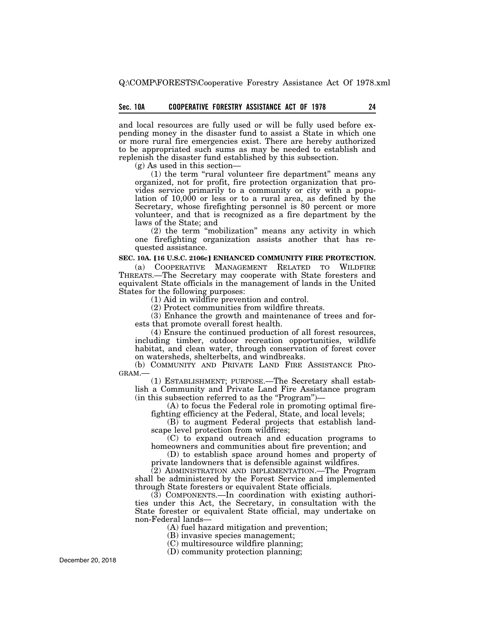# **Sec. 10A 24 COOPERATIVE FORESTRY ASSISTANCE ACT OF 1978**

and local resources are fully used or will be fully used before expending money in the disaster fund to assist a State in which one or more rural fire emergencies exist. There are hereby authorized to be appropriated such sums as may be needed to establish and replenish the disaster fund established by this subsection.

(g) As used in this section—

 $(1)$  the term "rural volunteer fire department" means any organized, not for profit, fire protection organization that provides service primarily to a community or city with a population of 10,000 or less or to a rural area, as defined by the Secretary, whose firefighting personnel is 80 percent or more volunteer, and that is recognized as a fire department by the laws of the State; and

(2) the term ''mobilization'' means any activity in which one firefighting organization assists another that has requested assistance.

# **SEC. 10A. [16 U.S.C. 2106c] ENHANCED COMMUNITY FIRE PROTECTION.**

(a) COOPERATIVE MANAGEMENT RELATED TO WILDFIRE THREATS.—The Secretary may cooperate with State foresters and equivalent State officials in the management of lands in the United States for the following purposes:

(1) Aid in wildfire prevention and control.

(2) Protect communities from wildfire threats.

(3) Enhance the growth and maintenance of trees and forests that promote overall forest health.

(4) Ensure the continued production of all forest resources, including timber, outdoor recreation opportunities, wildlife habitat, and clean water, through conservation of forest cover on watersheds, shelterbelts, and windbreaks.

(b) COMMUNITY AND PRIVATE LAND FIRE ASSISTANCE PRO-GRAM.—

(1) ESTABLISHMENT; PURPOSE.—The Secretary shall establish a Community and Private Land Fire Assistance program (in this subsection referred to as the ''Program'')—

(A) to focus the Federal role in promoting optimal firefighting efficiency at the Federal, State, and local levels;

(B) to augment Federal projects that establish landscape level protection from wildfires;

(C) to expand outreach and education programs to homeowners and communities about fire prevention; and

(D) to establish space around homes and property of private landowners that is defensible against wildfires.

(2) ADMINISTRATION AND IMPLEMENTATION.—The Program shall be administered by the Forest Service and implemented through State foresters or equivalent State officials.

(3) COMPONENTS.—In coordination with existing authorities under this Act, the Secretary, in consultation with the State forester or equivalent State official, may undertake on non-Federal lands—

(A) fuel hazard mitigation and prevention;

(B) invasive species management;

(C) multiresource wildfire planning;

(D) community protection planning;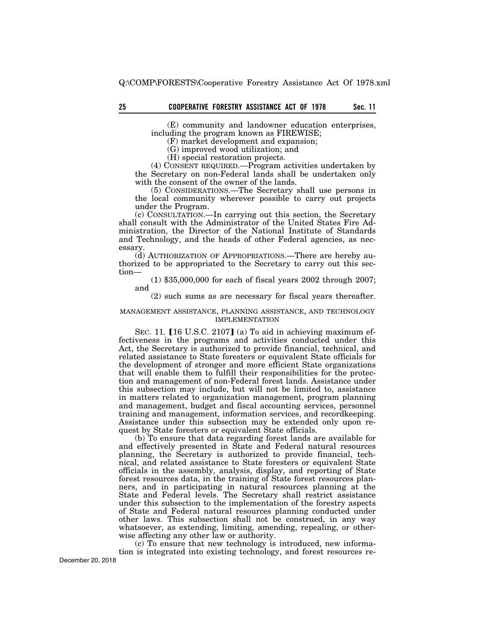# **25 Sec. 11 COOPERATIVE FORESTRY ASSISTANCE ACT OF 1978**

(E) community and landowner education enterprises, including the program known as FIREWISE;

(F) market development and expansion;

(G) improved wood utilization; and

(H) special restoration projects.

(4) CONSENT REQUIRED.—Program activities undertaken by the Secretary on non-Federal lands shall be undertaken only with the consent of the owner of the lands.

(5) CONSIDERATIONS.—The Secretary shall use persons in the local community wherever possible to carry out projects under the Program.

(c) CONSULTATION.—In carrying out this section, the Secretary shall consult with the Administrator of the United States Fire Administration, the Director of the National Institute of Standards and Technology, and the heads of other Federal agencies, as necessary.

(d) AUTHORIZATION OF APPROPRIATIONS.—There are hereby authorized to be appropriated to the Secretary to carry out this section—

(1) \$35,000,000 for each of fiscal years 2002 through 2007; and

(2) such sums as are necessary for fiscal years thereafter.

#### MANAGEMENT ASSISTANCE, PLANNING ASSISTANCE, AND TECHNOLOGY IMPLEMENTATION

SEC. 11.  $[16 \text{ U.S.C. } 2107]$  (a) To aid in achieving maximum effectiveness in the programs and activities conducted under this Act, the Secretary is authorized to provide financial, technical, and related assistance to State foresters or equivalent State officials for the development of stronger and more efficient State organizations that will enable them to fulfill their responsibilities for the protection and management of non-Federal forest lands. Assistance under this subsection may include, but will not be limited to, assistance in matters related to organization management, program planning and management, budget and fiscal accounting services, personnel training and management, information services, and recordkeeping. Assistance under this subsection may be extended only upon request by State foresters or equivalent State officials.

(b) To ensure that data regarding forest lands are available for and effectively presented in State and Federal natural resources planning, the Secretary is authorized to provide financial, technical, and related assistance to State foresters or equivalent State officials in the assembly, analysis, display, and reporting of State forest resources data, in the training of State forest resources planners, and in participating in natural resources planning at the State and Federal levels. The Secretary shall restrict assistance under this subsection to the implementation of the forestry aspects of State and Federal natural resources planning conducted under other laws. This subsection shall not be construed, in any way whatsoever, as extending, limiting, amending, repealing, or otherwise affecting any other law or authority.

(c) To ensure that new technology is introduced, new information is integrated into existing technology, and forest resources re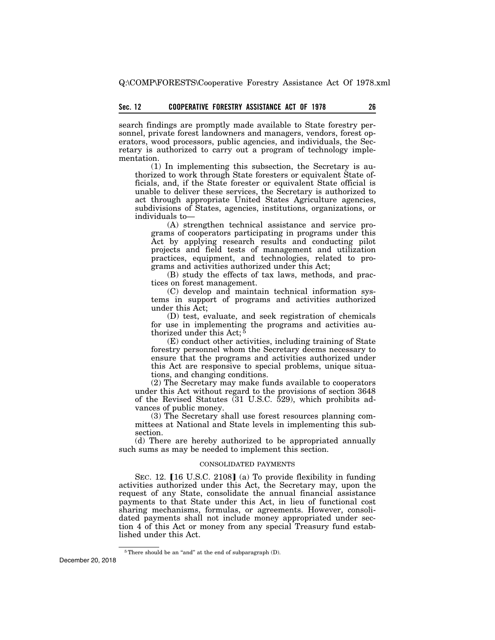search findings are promptly made available to State forestry personnel, private forest landowners and managers, vendors, forest operators, wood processors, public agencies, and individuals, the Secretary is authorized to carry out a program of technology implementation.

(1) In implementing this subsection, the Secretary is authorized to work through State foresters or equivalent State officials, and, if the State forester or equivalent State official is unable to deliver these services, the Secretary is authorized to act through appropriate United States Agriculture agencies, subdivisions of States, agencies, institutions, organizations, or individuals to—

(A) strengthen technical assistance and service programs of cooperators participating in programs under this Act by applying research results and conducting pilot projects and field tests of management and utilization practices, equipment, and technologies, related to programs and activities authorized under this Act;

(B) study the effects of tax laws, methods, and practices on forest management.

(C) develop and maintain technical information systems in support of programs and activities authorized under this Act;

(D) test, evaluate, and seek registration of chemicals for use in implementing the programs and activities authorized under this Act;<sup> $\bar{\xi}$ </sup>

(E) conduct other activities, including training of State forestry personnel whom the Secretary deems necessary to ensure that the programs and activities authorized under this Act are responsive to special problems, unique situations, and changing conditions.

(2) The Secretary may make funds available to cooperators under this Act without regard to the provisions of section 3648 of the Revised Statutes (31 U.S.C. 529), which prohibits advances of public money.

(3) The Secretary shall use forest resources planning committees at National and State levels in implementing this subsection.

(d) There are hereby authorized to be appropriated annually such sums as may be needed to implement this section.

#### CONSOLIDATED PAYMENTS

SEC. 12.  $[16 \text{ U.S.C. } 2108]$  (a) To provide flexibility in funding activities authorized under this Act, the Secretary may, upon the request of any State, consolidate the annual financial assistance payments to that State under this Act, in lieu of functional cost sharing mechanisms, formulas, or agreements. However, consolidated payments shall not include money appropriated under section 4 of this Act or money from any special Treasury fund established under this Act.

<sup>&</sup>lt;sup>5</sup>There should be an "and" at the end of subparagraph (D).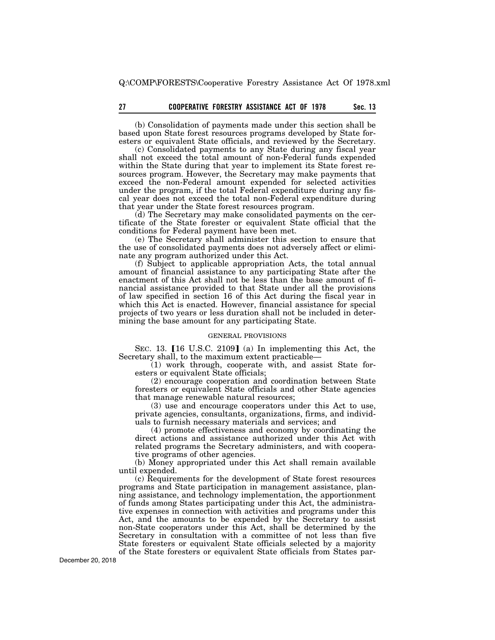# **27 Sec. 13 COOPERATIVE FORESTRY ASSISTANCE ACT OF 1978**

(b) Consolidation of payments made under this section shall be based upon State forest resources programs developed by State foresters or equivalent State officials, and reviewed by the Secretary.

(c) Consolidated payments to any State during any fiscal year shall not exceed the total amount of non-Federal funds expended within the State during that year to implement its State forest resources program. However, the Secretary may make payments that exceed the non-Federal amount expended for selected activities under the program, if the total Federal expenditure during any fiscal year does not exceed the total non-Federal expenditure during that year under the State forest resources program.

(d) The Secretary may make consolidated payments on the certificate of the State forester or equivalent State official that the conditions for Federal payment have been met.

(e) The Secretary shall administer this section to ensure that the use of consolidated payments does not adversely affect or eliminate any program authorized under this Act.

(f) Subject to applicable appropriation Acts, the total annual amount of financial assistance to any participating State after the enactment of this Act shall not be less than the base amount of financial assistance provided to that State under all the provisions of law specified in section 16 of this Act during the fiscal year in which this Act is enacted. However, financial assistance for special projects of two years or less duration shall not be included in determining the base amount for any participating State.

## GENERAL PROVISIONS

SEC. 13.  $[16 \text{ U.S.C. } 2109]$  (a) In implementing this Act, the Secretary shall, to the maximum extent practicable—

(1) work through, cooperate with, and assist State foresters or equivalent State officials;

(2) encourage cooperation and coordination between State foresters or equivalent State officials and other State agencies that manage renewable natural resources;

(3) use and encourage cooperators under this Act to use, private agencies, consultants, organizations, firms, and individuals to furnish necessary materials and services; and

(4) promote effectiveness and economy by coordinating the direct actions and assistance authorized under this Act with related programs the Secretary administers, and with cooperative programs of other agencies.

(b) Money appropriated under this Act shall remain available until expended.

(c) Requirements for the development of State forest resources programs and State participation in management assistance, planning assistance, and technology implementation, the apportionment of funds among States participating under this Act, the administrative expenses in connection with activities and programs under this Act, and the amounts to be expended by the Secretary to assist non-State cooperators under this Act, shall be determined by the Secretary in consultation with a committee of not less than five State foresters or equivalent State officials selected by a majority of the State foresters or equivalent State officials from States par-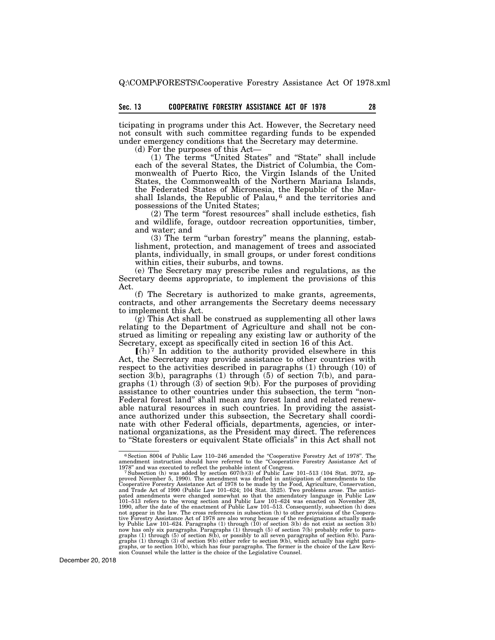ticipating in programs under this Act. However, the Secretary need not consult with such committee regarding funds to be expended under emergency conditions that the Secretary may determine.

(d) For the purposes of this Act—

(1) The terms ''United States'' and ''State'' shall include each of the several States, the District of Columbia, the Commonwealth of Puerto Rico, the Virgin Islands of the United States, the Commonwealth of the Northern Mariana Islands, the Federated States of Micronesia, the Republic of the Marshall Islands, the Republic of Palau, 6 and the territories and possessions of the United States;

(2) The term ''forest resources'' shall include esthetics, fish and wildlife, forage, outdoor recreation opportunities, timber, and water; and

(3) The term ''urban forestry'' means the planning, establishment, protection, and management of trees and associated plants, individually, in small groups, or under forest conditions within cities, their suburbs, and towns.

(e) The Secretary may prescribe rules and regulations, as the Secretary deems appropriate, to implement the provisions of this Act.

(f) The Secretary is authorized to make grants, agreements, contracts, and other arrangements the Secretary deems necessary to implement this Act.

(g) This Act shall be construed as supplementing all other laws relating to the Department of Agriculture and shall not be construed as limiting or repealing any existing law or authority of the Secretary, except as specifically cited in section 16 of this Act.

 $(n)^7$  In addition to the authority provided elsewhere in this Act, the Secretary may provide assistance to other countries with respect to the activities described in paragraphs (1) through (10) of section 3(b), paragraphs (1) through (5) of section 7(b), and paragraphs (1) through  $(3)$  of section  $9(b)$ . For the purposes of providing assistance to other countries under this subsection, the term ''non-Federal forest land'' shall mean any forest land and related renewable natural resources in such countries. In providing the assistance authorized under this subsection, the Secretary shall coordinate with other Federal officials, departments, agencies, or international organizations, as the President may direct. The references to ''State foresters or equivalent State officials'' in this Act shall not

<sup>6</sup>Section 8004 of Public Law 110–246 amended the ''Cooperative Forestry Act of 1978''. The amendment instruction should have referred to the ''Cooperative Forestry Assistance Act of

<sup>1978&</sup>quot; and was executed to reflect the probable intent of Congress.<br>
<sup>7</sup> Subsection (h) was added by section 607(b)(3) of Public Law 101–513 (104 Stat. 2072, ap-<br>
proved November 5, 1990). The amendment was drafted in anti 1990, after the date of the enactment of Public Law 101–513. Consequently, subsection (h) does not appear in the law. The cross references in subsection (h) to other provisions of the Cooperative forestive Sine tive Fores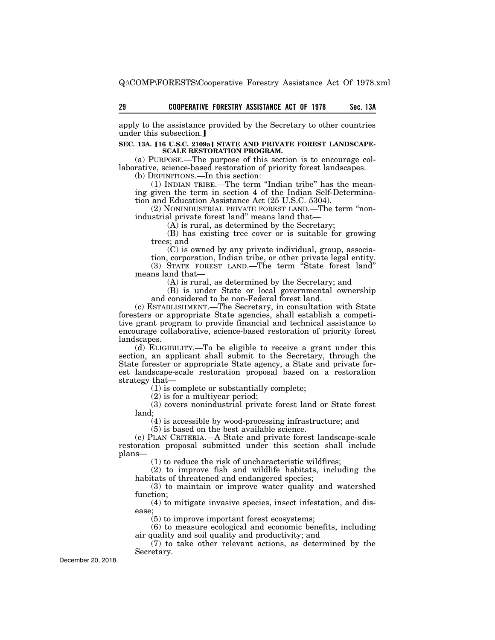apply to the assistance provided by the Secretary to other countries under this subsection.]

#### SEC. 13A. [16 U.S.C. 2109a] STATE AND PRIVATE FOREST LANDSCAPE-**SCALE RESTORATION PROGRAM.**

(a) PURPOSE.—The purpose of this section is to encourage collaborative, science-based restoration of priority forest landscapes.

(b) DEFINITIONS.—In this section:

(1) INDIAN TRIBE.—The term ''Indian tribe'' has the meaning given the term in section 4 of the Indian Self-Determination and Education Assistance Act (25 U.S.C. 5304).

(2) NONINDUSTRIAL PRIVATE FOREST LAND.—The term ''nonindustrial private forest land'' means land that—

(A) is rural, as determined by the Secretary;

(B) has existing tree cover or is suitable for growing trees; and

(C) is owned by any private individual, group, association, corporation, Indian tribe, or other private legal entity. (3) STATE FOREST LAND.—The term ''State forest land''

means land that—

(A) is rural, as determined by the Secretary; and

(B) is under State or local governmental ownership and considered to be non-Federal forest land.

(c) ESTABLISHMENT.—The Secretary, in consultation with State foresters or appropriate State agencies, shall establish a competitive grant program to provide financial and technical assistance to encourage collaborative, science-based restoration of priority forest landscapes.

(d) ELIGIBILITY.—To be eligible to receive a grant under this section, an applicant shall submit to the Secretary, through the State forester or appropriate State agency, a State and private forest landscape-scale restoration proposal based on a restoration strategy that—

(1) is complete or substantially complete;

(2) is for a multiyear period;

(3) covers nonindustrial private forest land or State forest land;

(4) is accessible by wood-processing infrastructure; and

(5) is based on the best available science.

(e) PLAN CRITERIA.—A State and private forest landscape-scale restoration proposal submitted under this section shall include plans—

(1) to reduce the risk of uncharacteristic wildfires;

(2) to improve fish and wildlife habitats, including the habitats of threatened and endangered species;

(3) to maintain or improve water quality and watershed function;

(4) to mitigate invasive species, insect infestation, and disease;

(5) to improve important forest ecosystems;

(6) to measure ecological and economic benefits, including air quality and soil quality and productivity; and

(7) to take other relevant actions, as determined by the Secretary.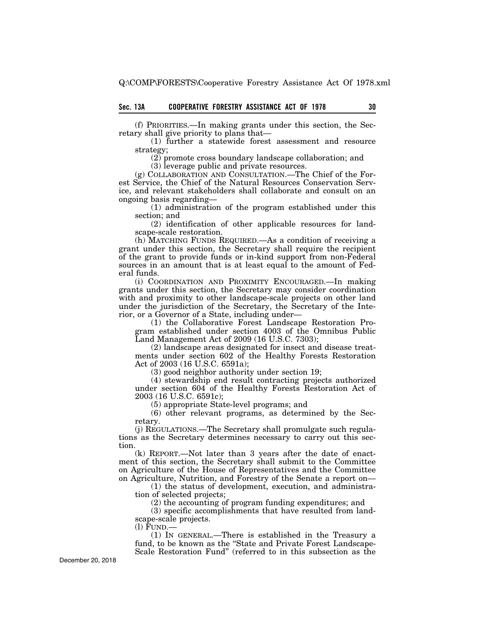(f) PRIORITIES.—In making grants under this section, the Secretary shall give priority to plans that—

(1) further a statewide forest assessment and resource strategy;

(2) promote cross boundary landscape collaboration; and

(3) leverage public and private resources.

(g) COLLABORATION AND CONSULTATION.—The Chief of the Forest Service, the Chief of the Natural Resources Conservation Service, and relevant stakeholders shall collaborate and consult on an ongoing basis regarding—

(1) administration of the program established under this section; and

(2) identification of other applicable resources for landscape-scale restoration.

(h) MATCHING FUNDS REQUIRED.—As a condition of receiving a grant under this section, the Secretary shall require the recipient of the grant to provide funds or in-kind support from non-Federal sources in an amount that is at least equal to the amount of Federal funds.

(i) COORDINATION AND PROXIMITY ENCOURAGED.—In making grants under this section, the Secretary may consider coordination with and proximity to other landscape-scale projects on other land under the jurisdiction of the Secretary, the Secretary of the Interior, or a Governor of a State, including under—

(1) the Collaborative Forest Landscape Restoration Program established under section 4003 of the Omnibus Public Land Management Act of 2009 (16 U.S.C. 7303);

(2) landscape areas designated for insect and disease treatments under section 602 of the Healthy Forests Restoration Act of 2003 (16 U.S.C. 6591a);

(3) good neighbor authority under section 19;

(4) stewardship end result contracting projects authorized under section 604 of the Healthy Forests Restoration Act of 2003 (16 U.S.C. 6591c);

(5) appropriate State-level programs; and

(6) other relevant programs, as determined by the Secretary.

(j) REGULATIONS.—The Secretary shall promulgate such regulations as the Secretary determines necessary to carry out this section.

(k) REPORT.—Not later than 3 years after the date of enactment of this section, the Secretary shall submit to the Committee on Agriculture of the House of Representatives and the Committee on Agriculture, Nutrition, and Forestry of the Senate a report on—

(1) the status of development, execution, and administration of selected projects;

(2) the accounting of program funding expenditures; and

(3) specific accomplishments that have resulted from landscape-scale projects.

(l) FUND.—

(1) IN GENERAL.—There is established in the Treasury a fund, to be known as the ''State and Private Forest Landscape-Scale Restoration Fund'' (referred to in this subsection as the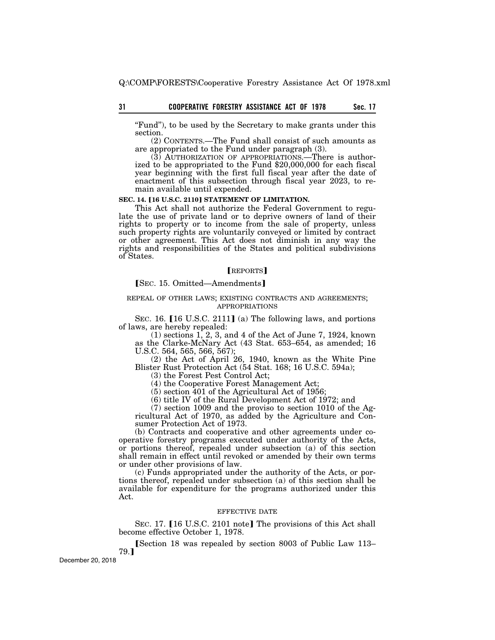''Fund''), to be used by the Secretary to make grants under this section.

(2) CONTENTS.—The Fund shall consist of such amounts as are appropriated to the Fund under paragraph (3).

(3) AUTHORIZATION OF APPROPRIATIONS.—There is authorized to be appropriated to the Fund \$20,000,000 for each fiscal year beginning with the first full fiscal year after the date of enactment of this subsection through fiscal year 2023, to remain available until expended.

# **SEC. 14. [16 U.S.C. 2110] STATEMENT OF LIMITATION.**

This Act shall not authorize the Federal Government to regulate the use of private land or to deprive owners of land of their rights to property or to income from the sale of property, unless such property rights are voluntarily conveyed or limited by contract or other agreement. This Act does not diminish in any way the rights and responsibilities of the States and political subdivisions of States.

# [REPORTS]

**[SEC. 15. Omitted—Amendments]** 

#### REPEAL OF OTHER LAWS; EXISTING CONTRACTS AND AGREEMENTS; APPROPRIATIONS

SEC. 16. [16 U.S.C. 2111] (a) The following laws, and portions of laws, are hereby repealed:

(1) sections 1, 2, 3, and 4 of the Act of June 7, 1924, known as the Clarke-McNary Act (43 Stat. 653–654, as amended; 16 U.S.C. 564, 565, 566, 567);

(2) the Act of April 26, 1940, known as the White Pine Blister Rust Protection Act (54 Stat. 168; 16 U.S.C. 594a);

(3) the Forest Pest Control Act;

(4) the Cooperative Forest Management Act;

(5) section 401 of the Agricultural Act of 1956;

 $(6)$  title IV of the Rural Development Act of 1972; and

(7) section 1009 and the proviso to section 1010 of the Agricultural Act of 1970, as added by the Agriculture and Consumer Protection Act of 1973.

(b) Contracts and cooperative and other agreements under cooperative forestry programs executed under authority of the Acts, or portions thereof, repealed under subsection (a) of this section shall remain in effect until revoked or amended by their own terms or under other provisions of law.

(c) Funds appropriated under the authority of the Acts, or portions thereof, repealed under subsection (a) of this section shall be available for expenditure for the programs authorized under this Act.

#### EFFECTIVE DATE

SEC. 17. [16 U.S.C. 2101 note] The provisions of this Act shall become effective October 1, 1978.

**Section 18 was repealed by section 8003 of Public Law 113–** 79.¿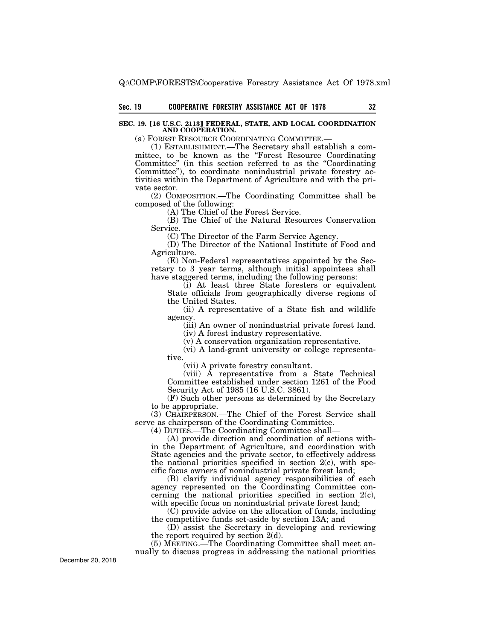## **SEC. 19. [16 U.S.C. 2113] FEDERAL, STATE, AND LOCAL COORDINATION AND COOPERATION.**

(a) FOREST RESOURCE COORDINATING COMMITTEE.—

(1) ESTABLISHMENT.—The Secretary shall establish a committee, to be known as the "Forest Resource Coordinating" Committee" (in this section referred to as the "Coordinating") Committee''), to coordinate nonindustrial private forestry activities within the Department of Agriculture and with the private sector.

(2) COMPOSITION.—The Coordinating Committee shall be composed of the following:

(A) The Chief of the Forest Service.

(B) The Chief of the Natural Resources Conservation Service.

(C) The Director of the Farm Service Agency.

(D) The Director of the National Institute of Food and Agriculture.

(E) Non-Federal representatives appointed by the Secretary to 3 year terms, although initial appointees shall have staggered terms, including the following persons:

(i) At least three State foresters or equivalent State officials from geographically diverse regions of the United States.

(ii) A representative of a State fish and wildlife agency.

(iii) An owner of nonindustrial private forest land.

(iv) A forest industry representative.

(v) A conservation organization representative.

(vi) A land-grant university or college representative.

(vii) A private forestry consultant.

(viii) A representative from a State Technical Committee established under section 1261 of the Food Security Act of 1985 (16 U.S.C. 3861).

(F) Such other persons as determined by the Secretary to be appropriate.

(3) CHAIRPERSON.—The Chief of the Forest Service shall serve as chairperson of the Coordinating Committee.

(4) DUTIES.—The Coordinating Committee shall—

(A) provide direction and coordination of actions within the Department of Agriculture, and coordination with State agencies and the private sector, to effectively address the national priorities specified in section  $2(c)$ , with specific focus owners of nonindustrial private forest land;

(B) clarify individual agency responsibilities of each agency represented on the Coordinating Committee concerning the national priorities specified in section 2(c), with specific focus on nonindustrial private forest land;

(C) provide advice on the allocation of funds, including the competitive funds set-aside by section 13A; and

(D) assist the Secretary in developing and reviewing the report required by section 2(d).

(5) MEETING.—The Coordinating Committee shall meet annually to discuss progress in addressing the national priorities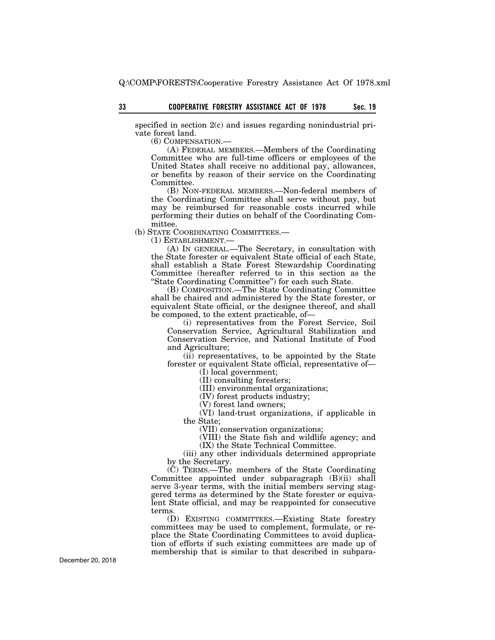specified in section 2(c) and issues regarding nonindustrial private forest land.

(6) COMPENSATION.—

(A) FEDERAL MEMBERS.—Members of the Coordinating Committee who are full-time officers or employees of the United States shall receive no additional pay, allowances, or benefits by reason of their service on the Coordinating Committee.

(B) NON-FEDERAL MEMBERS.—Non-federal members of the Coordinating Committee shall serve without pay, but may be reimbursed for reasonable costs incurred while performing their duties on behalf of the Coordinating Committee.

(b) STATE COORDINATING COMMITTEES.—

(1) ESTABLISHMENT.—

(A) IN GENERAL.—The Secretary, in consultation with the State forester or equivalent State official of each State, shall establish a State Forest Stewardship Coordinating Committee (hereafter referred to in this section as the ''State Coordinating Committee'') for each such State.

(B) COMPOSITION.—The State Coordinating Committee shall be chaired and administered by the State forester, or equivalent State official, or the designee thereof, and shall be composed, to the extent practicable, of—

(i) representatives from the Forest Service, Soil Conservation Service, Agricultural Stabilization and Conservation Service, and National Institute of Food and Agriculture;

(ii) representatives, to be appointed by the State forester or equivalent State official, representative of—

(I) local government;

(II) consulting foresters;

(III) environmental organizations;

(IV) forest products industry;

(V) forest land owners;

(VI) land-trust organizations, if applicable in the State;

(VII) conservation organizations;

(VIII) the State fish and wildlife agency; and

(IX) the State Technical Committee.

(iii) any other individuals determined appropriate by the Secretary.

(C) TERMS.—The members of the State Coordinating Committee appointed under subparagraph (B)(ii) shall serve 3-year terms, with the initial members serving staggered terms as determined by the State forester or equivalent State official, and may be reappointed for consecutive terms.

(D) EXISTING COMMITTEES.—Existing State forestry committees may be used to complement, formulate, or replace the State Coordinating Committees to avoid duplication of efforts if such existing committees are made up of membership that is similar to that described in subpara